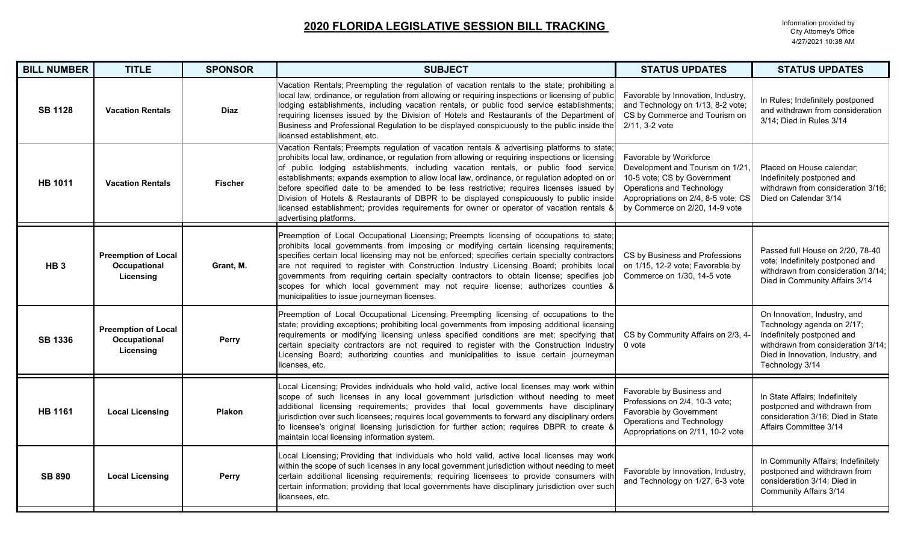| <b>BILL NUMBER</b> | <b>TITLE</b>                                            | <b>SPONSOR</b> | <b>SUBJECT</b>                                                                                                                                                                                                                                                                                                                                                                                                                                                                                                                                                                                                                                                                                        | <b>STATUS UPDATES</b>                                                                                                                                                                           | <b>STATUS UPDATES</b>                                                                                                                                                                  |
|--------------------|---------------------------------------------------------|----------------|-------------------------------------------------------------------------------------------------------------------------------------------------------------------------------------------------------------------------------------------------------------------------------------------------------------------------------------------------------------------------------------------------------------------------------------------------------------------------------------------------------------------------------------------------------------------------------------------------------------------------------------------------------------------------------------------------------|-------------------------------------------------------------------------------------------------------------------------------------------------------------------------------------------------|----------------------------------------------------------------------------------------------------------------------------------------------------------------------------------------|
| <b>SB 1128</b>     | <b>Vacation Rentals</b>                                 | <b>Diaz</b>    | Vacation Rentals; Preempting the regulation of vacation rentals to the state; prohibiting a<br>local law, ordinance, or regulation from allowing or requiring inspections or licensing of public<br>lodging establishments, including vacation rentals, or public food service establishments;<br>requiring licenses issued by the Division of Hotels and Restaurants of the Department of<br>Business and Professional Regulation to be displayed conspicuously to the public inside the<br>licensed establishment, etc.                                                                                                                                                                             | Favorable by Innovation, Industry,<br>and Technology on 1/13, 8-2 vote;<br>CS by Commerce and Tourism on<br>2/11, 3-2 vote                                                                      | In Rules; Indefinitely postponed<br>and withdrawn from consideration<br>3/14; Died in Rules 3/14                                                                                       |
| <b>HB 1011</b>     | <b>Vacation Rentals</b>                                 | <b>Fischer</b> | Vacation Rentals; Preempts regulation of vacation rentals & advertising platforms to state;<br>prohibits local law, ordinance, or regulation from allowing or requiring inspections or licensing<br>of public lodging establishments, including vacation rentals, or public food service<br>establishments; expands exemption to allow local law, ordinance, or regulation adopted on or<br>before specified date to be amended to be less restrictive; requires licenses issued by<br>Division of Hotels & Restaurants of DBPR to be displayed conspicuously to public inside<br>licensed establishment; provides requirements for owner or operator of vacation rentals &<br>advertising platforms. | Favorable by Workforce<br>Development and Tourism on 1/21,<br>10-5 vote; CS by Government<br>Operations and Technology<br>Appropriations on 2/4, 8-5 vote; CS<br>by Commerce on 2/20, 14-9 vote | Placed on House calendar;<br>Indefinitely postponed and<br>withdrawn from consideration 3/16;<br>Died on Calendar 3/14                                                                 |
| HB <sub>3</sub>    | <b>Preemption of Local</b><br>Occupational<br>Licensing | Grant, M.      | Preemption of Local Occupational Licensing; Preempts licensing of occupations to state;<br>prohibits local governments from imposing or modifying certain licensing requirements;<br>specifies certain local licensing may not be enforced; specifies certain specialty contractors<br>are not required to register with Construction Industry Licensing Board; prohibits local<br>governments from requiring certain specialty contractors to obtain license; specifies job<br>scopes for which local government may not require license; authorizes counties &<br>municipalities to issue journeyman licenses.                                                                                      | CS by Business and Professions<br>on 1/15, 12-2 vote; Favorable by<br>Commerce on 1/30, 14-5 vote                                                                                               | Passed full House on 2/20, 78-40<br>vote; Indefinitely postponed and<br>withdrawn from consideration 3/14;<br>Died in Community Affairs 3/14                                           |
| <b>SB 1336</b>     | <b>Preemption of Local</b><br>Occupational<br>Licensing | Perry          | Preemption of Local Occupational Licensing; Preempting licensing of occupations to the<br>state; providing exceptions; prohibiting local governments from imposing additional licensing<br>requirements or modifying licensing unless specified conditions are met; specifying that<br>certain specialty contractors are not required to register with the Construction Industry<br>Licensing Board; authorizing counties and municipalities to issue certain journeyman<br>icenses, etc.                                                                                                                                                                                                             | CS by Community Affairs on 2/3, 4-<br>0 vote                                                                                                                                                    | On Innovation, Industry, and<br>Technology agenda on 2/17;<br>Indefinitely postponed and<br>withdrawn from consideration 3/14;<br>Died in Innovation, Industry, and<br>Technology 3/14 |
| <b>HB 1161</b>     | <b>Local Licensing</b>                                  | <b>Plakon</b>  | Local Licensing; Provides individuals who hold valid, active local licenses may work within<br>scope of such licenses in any local government jurisdiction without needing to meet<br>additional licensing requirements; provides that local governments have disciplinary<br>jurisdiction over such licensees; requires local governments to forward any disciplinary orders<br>to licensee's original licensing jurisdiction for further action; requires DBPR to create 8<br>maintain local licensing information system.                                                                                                                                                                          | Favorable by Business and<br>Professions on 2/4, 10-3 vote;<br>Favorable by Government<br>Operations and Technology<br>Appropriations on 2/11, 10-2 vote                                        | In State Affairs; Indefinitely<br>postponed and withdrawn from<br>consideration 3/16; Died in State<br><b>Affairs Committee 3/14</b>                                                   |
| <b>SB 890</b>      | <b>Local Licensing</b>                                  | <b>Perry</b>   | Local Licensing; Providing that individuals who hold valid, active local licenses may work<br>within the scope of such licenses in any local government jurisdiction without needing to meet<br>certain additional licensing requirements; requiring licensees to provide consumers with<br>certain information; providing that local governments have disciplinary jurisdiction over such<br>licensees, etc.                                                                                                                                                                                                                                                                                         | Favorable by Innovation, Industry,<br>and Technology on 1/27, 6-3 vote                                                                                                                          | In Community Affairs; Indefinitely<br>postponed and withdrawn from<br>consideration 3/14; Died in<br>Community Affairs 3/14                                                            |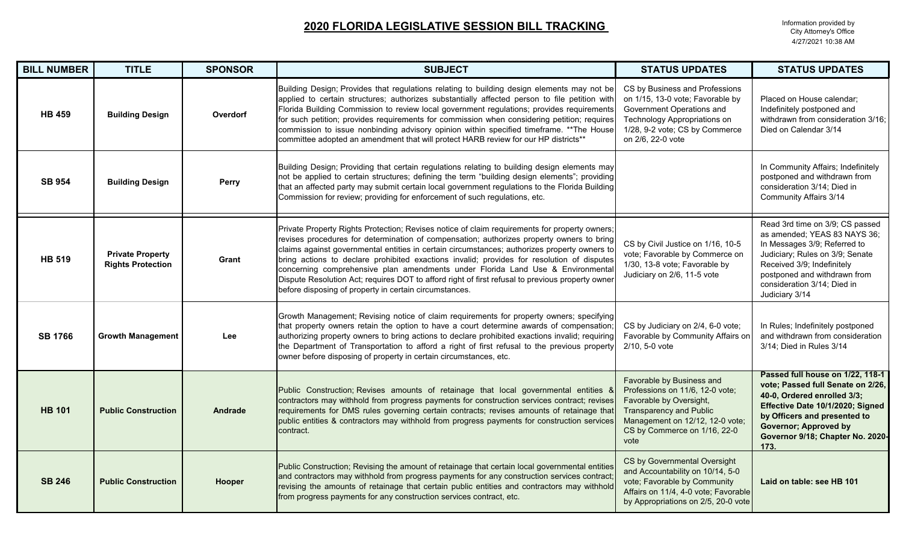| <b>BILL NUMBER</b> | <b>TITLE</b>                                        | <b>SPONSOR</b> | <b>SUBJECT</b>                                                                                                                                                                                                                                                                                                                                                                                                                                                                                                                                                                                                                            | <b>STATUS UPDATES</b>                                                                                                                                                                                | <b>STATUS UPDATES</b>                                                                                                                                                                                                                                |
|--------------------|-----------------------------------------------------|----------------|-------------------------------------------------------------------------------------------------------------------------------------------------------------------------------------------------------------------------------------------------------------------------------------------------------------------------------------------------------------------------------------------------------------------------------------------------------------------------------------------------------------------------------------------------------------------------------------------------------------------------------------------|------------------------------------------------------------------------------------------------------------------------------------------------------------------------------------------------------|------------------------------------------------------------------------------------------------------------------------------------------------------------------------------------------------------------------------------------------------------|
| <b>HB 459</b>      | <b>Building Design</b>                              | Overdorf       | Building Design; Provides that regulations relating to building design elements may not be<br>applied to certain structures; authorizes substantially affected person to file petition with<br>Florida Building Commission to review local government regulations; provides requirements<br>for such petition; provides requirements for commission when considering petition; requires<br>commission to issue nonbinding advisory opinion within specified timeframe. ** The House<br>committee adopted an amendment that will protect HARB review for our HP districts**                                                                | CS by Business and Professions<br>on 1/15, 13-0 vote; Favorable by<br>Government Operations and<br>Technology Appropriations on<br>1/28, 9-2 vote; CS by Commerce<br>on 2/6, 22-0 vote               | Placed on House calendar;<br>Indefinitely postponed and<br>withdrawn from consideration 3/16;<br>Died on Calendar 3/14                                                                                                                               |
| <b>SB 954</b>      | <b>Building Design</b>                              | <b>Perry</b>   | Building Design; Providing that certain regulations relating to building design elements may<br>not be applied to certain structures; defining the term "building design elements"; providing<br>that an affected party may submit certain local government regulations to the Florida Building<br>Commission for review; providing for enforcement of such regulations, etc.                                                                                                                                                                                                                                                             |                                                                                                                                                                                                      | In Community Affairs; Indefinitely<br>postponed and withdrawn from<br>consideration 3/14; Died in<br><b>Community Affairs 3/14</b>                                                                                                                   |
| <b>HB 519</b>      | <b>Private Property</b><br><b>Rights Protection</b> | Grant          | Private Property Rights Protection; Revises notice of claim requirements for property owners;<br>revises procedures for determination of compensation; authorizes property owners to bring<br>claims against governmental entities in certain circumstances; authorizes property owners to<br>bring actions to declare prohibited exactions invalid; provides for resolution of disputes<br>concerning comprehensive plan amendments under Florida Land Use & Environmental<br>Dispute Resolution Act; requires DOT to afford right of first refusal to previous property owner<br>before disposing of property in certain circumstances. | CS by Civil Justice on 1/16, 10-5<br>vote; Favorable by Commerce on<br>1/30, 13-8 vote; Favorable by<br>Judiciary on 2/6, 11-5 vote                                                                  | Read 3rd time on 3/9; CS passed<br>as amended; YEAS 83 NAYS 36;<br>In Messages 3/9; Referred to<br>Judiciary; Rules on 3/9; Senate<br>Received 3/9; Indefinitely<br>postponed and withdrawn from<br>consideration 3/14; Died in<br>Judiciary 3/14    |
| <b>SB 1766</b>     | <b>Growth Management</b>                            | <b>Lee</b>     | Growth Management; Revising notice of claim requirements for property owners; specifying<br>that property owners retain the option to have a court determine awards of compensation;<br>authorizing property owners to bring actions to declare prohibited exactions invalid; requiring<br>the Department of Transportation to afford a right of first refusal to the previous property<br>owner before disposing of property in certain circumstances, etc.                                                                                                                                                                              | CS by Judiciary on 2/4, 6-0 vote;<br>Favorable by Community Affairs on<br>$2/10, 5-0$ vote                                                                                                           | In Rules; Indefinitely postponed<br>and withdrawn from consideration<br>3/14; Died in Rules 3/14                                                                                                                                                     |
| <b>HB 101</b>      | <b>Public Construction</b>                          | Andrade        | Public Construction; Revises amounts of retainage that local governmental entities &<br>contractors may withhold from progress payments for construction services contract; revises<br>requirements for DMS rules governing certain contracts; revises amounts of retainage that<br>public entities & contractors may withhold from progress payments for construction services<br>contract.                                                                                                                                                                                                                                              | Favorable by Business and<br>Professions on 11/6, 12-0 vote;<br>Favorable by Oversight,<br><b>Transparency and Public</b><br>Management on 12/12, 12-0 vote;<br>CS by Commerce on 1/16, 22-0<br>vote | Passed full house on 1/22, 118-1<br>vote; Passed full Senate on 2/26,<br>40-0, Ordered enrolled 3/3;<br>Effective Date 10/1/2020; Signed<br>by Officers and presented to<br><b>Governor; Approved by</b><br>Governor 9/18; Chapter No. 2020-<br>173. |
| <b>SB 246</b>      | <b>Public Construction</b>                          | Hooper         | Public Construction; Revising the amount of retainage that certain local governmental entities<br>and contractors may withhold from progress payments for any construction services contract<br>revising the amounts of retainage that certain public entities and contractors may withhold<br>from progress payments for any construction services contract, etc.                                                                                                                                                                                                                                                                        | CS by Governmental Oversight<br>and Accountability on 10/14, 5-0<br>vote; Favorable by Community<br>Affairs on 11/4, 4-0 vote; Favorable<br>by Appropriations on 2/5, 20-0 vote                      | Laid on table: see HB 101                                                                                                                                                                                                                            |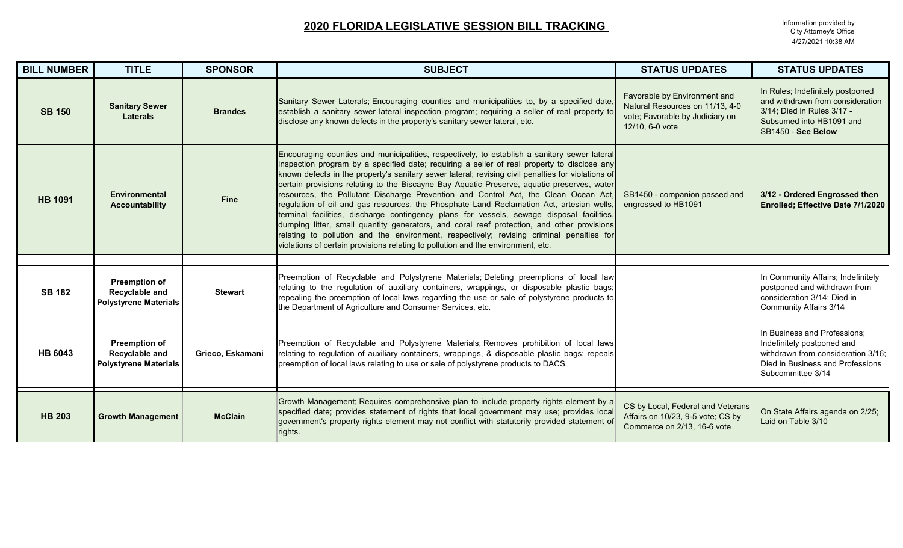| <b>BILL NUMBER</b> | <b>TITLE</b>                                                           | <b>SPONSOR</b>   | <b>SUBJECT</b>                                                                                                                                                                                                                                                                                                                                                                                                                                                                                                                                                                                                                                                                                                                                                                                                                                                                                                                                                | <b>STATUS UPDATES</b>                                                                                                 | <b>STATUS UPDATES</b>                                                                                                                                     |
|--------------------|------------------------------------------------------------------------|------------------|---------------------------------------------------------------------------------------------------------------------------------------------------------------------------------------------------------------------------------------------------------------------------------------------------------------------------------------------------------------------------------------------------------------------------------------------------------------------------------------------------------------------------------------------------------------------------------------------------------------------------------------------------------------------------------------------------------------------------------------------------------------------------------------------------------------------------------------------------------------------------------------------------------------------------------------------------------------|-----------------------------------------------------------------------------------------------------------------------|-----------------------------------------------------------------------------------------------------------------------------------------------------------|
| <b>SB 150</b>      | <b>Sanitary Sewer</b><br><b>Laterals</b>                               | <b>Brandes</b>   | Sanitary Sewer Laterals; Encouraging counties and municipalities to, by a specified date,<br>establish a sanitary sewer lateral inspection program; requiring a seller of real property to<br>disclose any known defects in the property's sanitary sewer lateral, etc.                                                                                                                                                                                                                                                                                                                                                                                                                                                                                                                                                                                                                                                                                       | Favorable by Environment and<br>Natural Resources on 11/13, 4-0<br>vote; Favorable by Judiciary on<br>12/10, 6-0 vote | In Rules; Indefinitely postponed<br>and withdrawn from consideration<br>3/14; Died in Rules 3/17 -<br>Subsumed into HB1091 and<br>SB1450 - See Below      |
| <b>HB 1091</b>     | <b>Environmental</b><br><b>Accountability</b>                          | <b>Fine</b>      | Encouraging counties and municipalities, respectively, to establish a sanitary sewer lateral<br>inspection program by a specified date; requiring a seller of real property to disclose any<br>known defects in the property's sanitary sewer lateral; revising civil penalties for violations of<br>certain provisions relating to the Biscayne Bay Aquatic Preserve, aquatic preserves, water<br>resources, the Pollutant Discharge Prevention and Control Act, the Clean Ocean Act,<br>regulation of oil and gas resources, the Phosphate Land Reclamation Act, artesian wells,<br>terminal facilities, discharge contingency plans for vessels, sewage disposal facilities,<br>dumping litter, small quantity generators, and coral reef protection, and other provisions<br>relating to pollution and the environment, respectively; revising criminal penalties for<br>violations of certain provisions relating to pollution and the environment, etc. | SB1450 - companion passed and<br>engrossed to HB1091                                                                  | 3/12 - Ordered Engrossed then<br>Enrolled; Effective Date 7/1/2020                                                                                        |
|                    |                                                                        |                  |                                                                                                                                                                                                                                                                                                                                                                                                                                                                                                                                                                                                                                                                                                                                                                                                                                                                                                                                                               |                                                                                                                       |                                                                                                                                                           |
| <b>SB 182</b>      | <b>Preemption of</b><br>Recyclable and<br><b>Polystyrene Materials</b> | <b>Stewart</b>   | Preemption of Recyclable and Polystyrene Materials; Deleting preemptions of local law<br>relating to the regulation of auxiliary containers, wrappings, or disposable plastic bags;<br>repealing the preemption of local laws regarding the use or sale of polystyrene products to<br>the Department of Agriculture and Consumer Services, etc.                                                                                                                                                                                                                                                                                                                                                                                                                                                                                                                                                                                                               |                                                                                                                       | In Community Affairs; Indefinitely<br>postponed and withdrawn from<br>consideration 3/14; Died in<br><b>Community Affairs 3/14</b>                        |
| <b>HB 6043</b>     | <b>Preemption of</b><br>Recyclable and<br><b>Polystyrene Materials</b> | Grieco, Eskamani | Preemption of Recyclable and Polystyrene Materials; Removes prohibition of local laws<br>relating to regulation of auxiliary containers, wrappings, & disposable plastic bags; repeals<br>preemption of local laws relating to use or sale of polystyrene products to DACS.                                                                                                                                                                                                                                                                                                                                                                                                                                                                                                                                                                                                                                                                                   |                                                                                                                       | In Business and Professions;<br>Indefinitely postponed and<br>withdrawn from consideration 3/16;<br>Died in Business and Professions<br>Subcommittee 3/14 |
| <b>HB 203</b>      | <b>Growth Management</b>                                               | <b>McClain</b>   | Growth Management; Requires comprehensive plan to include property rights element by a<br>specified date; provides statement of rights that local government may use; provides local<br>government's property rights element may not conflict with statutorily provided statement of<br>rights.                                                                                                                                                                                                                                                                                                                                                                                                                                                                                                                                                                                                                                                               | CS by Local, Federal and Veterans<br>Affairs on 10/23, 9-5 vote; CS by<br>Commerce on 2/13, 16-6 vote                 | On State Affairs agenda on 2/25;<br>Laid on Table 3/10                                                                                                    |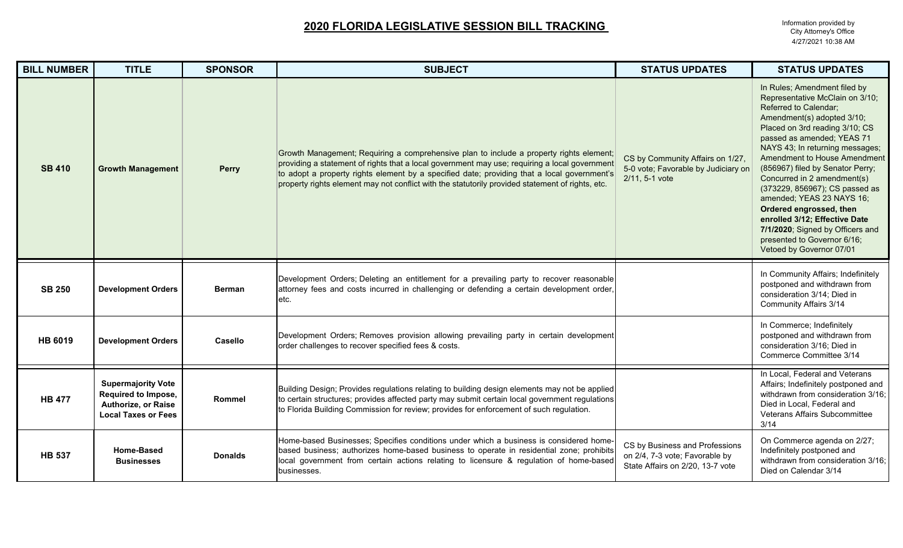| <b>BILL NUMBER</b> | <b>TITLE</b>                                                                                          | <b>SPONSOR</b> | <b>SUBJECT</b>                                                                                                                                                                                                                                                                                                                                                                              | <b>STATUS UPDATES</b>                                                                                | <b>STATUS UPDATES</b>                                                                                                                                                                                                                                                                                                                                                                                                                                                                                                                                  |
|--------------------|-------------------------------------------------------------------------------------------------------|----------------|---------------------------------------------------------------------------------------------------------------------------------------------------------------------------------------------------------------------------------------------------------------------------------------------------------------------------------------------------------------------------------------------|------------------------------------------------------------------------------------------------------|--------------------------------------------------------------------------------------------------------------------------------------------------------------------------------------------------------------------------------------------------------------------------------------------------------------------------------------------------------------------------------------------------------------------------------------------------------------------------------------------------------------------------------------------------------|
| <b>SB 410</b>      | <b>Growth Management</b>                                                                              | <b>Perry</b>   | Growth Management; Requiring a comprehensive plan to include a property rights element;<br>providing a statement of rights that a local government may use; requiring a local government<br>to adopt a property rights element by a specified date; providing that a local government's<br>property rights element may not conflict with the statutorily provided statement of rights, etc. | CS by Community Affairs on 1/27,<br>5-0 vote; Favorable by Judiciary on<br>2/11, 5-1 vote            | In Rules; Amendment filed by<br>Representative McClain on 3/10;<br>Referred to Calendar;<br>Amendment(s) adopted 3/10;<br>Placed on 3rd reading 3/10; CS<br>passed as amended; YEAS 71<br>NAYS 43; In returning messages;<br>Amendment to House Amendment<br>(856967) filed by Senator Perry;<br>Concurred in 2 amendment(s)<br>(373229, 856967); CS passed as<br>amended; YEAS 23 NAYS 16;<br>Ordered engrossed, then<br>enrolled 3/12; Effective Date<br>7/1/2020; Signed by Officers and<br>presented to Governor 6/16;<br>Vetoed by Governor 07/01 |
| <b>SB 250</b>      | <b>Development Orders</b>                                                                             | <b>Berman</b>  | Development Orders; Deleting an entitlement for a prevailing party to recover reasonable<br>attorney fees and costs incurred in challenging or defending a certain development order,<br>etc.                                                                                                                                                                                               |                                                                                                      | In Community Affairs; Indefinitely<br>postponed and withdrawn from<br>consideration 3/14; Died in<br><b>Community Affairs 3/14</b>                                                                                                                                                                                                                                                                                                                                                                                                                     |
| <b>HB 6019</b>     | <b>Development Orders</b>                                                                             | <b>Casello</b> | Development Orders; Removes provision allowing prevailing party in certain development<br>order challenges to recover specified fees & costs.                                                                                                                                                                                                                                               |                                                                                                      | In Commerce; Indefinitely<br>postponed and withdrawn from<br>consideration 3/16; Died in<br>Commerce Committee 3/14                                                                                                                                                                                                                                                                                                                                                                                                                                    |
| <b>HB 477</b>      | <b>Supermajority Vote</b><br>Required to Impose,<br>Authorize, or Raise<br><b>Local Taxes or Fees</b> | Rommel         | Building Design; Provides regulations relating to building design elements may not be applied<br>to certain structures; provides affected party may submit certain local government regulations<br>to Florida Building Commission for review; provides for enforcement of such regulation.                                                                                                  |                                                                                                      | In Local, Federal and Veterans<br>Affairs; Indefinitely postponed and<br>withdrawn from consideration 3/16;<br>Died in Local, Federal and<br>Veterans Affairs Subcommittee<br>3/14                                                                                                                                                                                                                                                                                                                                                                     |
| <b>HB 537</b>      | <b>Home-Based</b><br><b>Businesses</b>                                                                | <b>Donalds</b> | Home-based Businesses; Specifies conditions under which a business is considered home-<br>based business; authorizes home-based business to operate in residential zone; prohibits<br>local government from certain actions relating to licensure & regulation of home-based<br>businesses.                                                                                                 | CS by Business and Professions<br>on 2/4, 7-3 vote; Favorable by<br>State Affairs on 2/20, 13-7 vote | On Commerce agenda on 2/27;<br>Indefinitely postponed and<br>withdrawn from consideration 3/16;<br>Died on Calendar 3/14                                                                                                                                                                                                                                                                                                                                                                                                                               |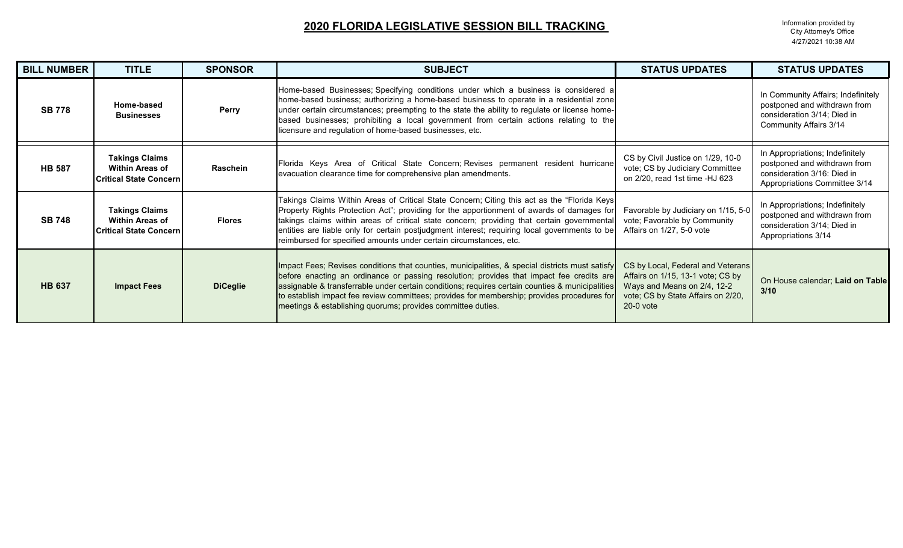| <b>BILL NUMBER</b> | <b>TITLE</b>                                                                      | <b>SPONSOR</b>  | <b>SUBJECT</b>                                                                                                                                                                                                                                                                                                                                                                                                                                                | <b>STATUS UPDATES</b>                                                                                                                                      | <b>STATUS UPDATES</b>                                                                                                              |
|--------------------|-----------------------------------------------------------------------------------|-----------------|---------------------------------------------------------------------------------------------------------------------------------------------------------------------------------------------------------------------------------------------------------------------------------------------------------------------------------------------------------------------------------------------------------------------------------------------------------------|------------------------------------------------------------------------------------------------------------------------------------------------------------|------------------------------------------------------------------------------------------------------------------------------------|
| <b>SB 778</b>      | Home-based<br><b>Businesses</b>                                                   | Perry           | Home-based Businesses; Specifying conditions under which a business is considered a<br>home-based business; authorizing a home-based business to operate in a residential zone<br>under certain circumstances; preempting to the state the ability to regulate or license home-<br>based businesses; prohibiting a local government from certain actions relating to the<br>licensure and regulation of home-based businesses, etc.                           |                                                                                                                                                            | In Community Affairs; Indefinitely<br>postponed and withdrawn from<br>consideration 3/14; Died in<br><b>Community Affairs 3/14</b> |
| <b>HB 587</b>      | <b>Takings Claims</b><br><b>Within Areas of</b><br><b>Critical State Concern</b>  | Raschein        | Florida Keys Area of Critical State Concern; Revises permanent resident hurricane<br>evacuation clearance time for comprehensive plan amendments.                                                                                                                                                                                                                                                                                                             | CS by Civil Justice on 1/29, 10-0<br>vote; CS by Judiciary Committee<br>on 2/20, read 1st time -HJ 623                                                     | In Appropriations; Indefinitely<br>postponed and withdrawn from<br>consideration 3/16: Died in<br>Appropriations Committee 3/14    |
| <b>SB 748</b>      | <b>Takings Claims</b><br><b>Within Areas of</b><br><b>Critical State Concerni</b> | <b>Flores</b>   | Takings Claims Within Areas of Critical State Concern; Citing this act as the "Florida Keys<br>Property Rights Protection Act"; providing for the apportionment of awards of damages for<br>takings claims within areas of critical state concern; providing that certain governmental<br>entities are liable only for certain postjudgment interest; requiring local governments to be<br>reimbursed for specified amounts under certain circumstances, etc. | Favorable by Judiciary on 1/15, 5-0<br>vote; Favorable by Community<br>Affairs on 1/27, 5-0 vote                                                           | In Appropriations; Indefinitely<br>postponed and withdrawn from<br>consideration 3/14; Died in<br>Appropriations 3/14              |
| <b>HB 637</b>      | <b>Impact Fees</b>                                                                | <b>DiCeglie</b> | Impact Fees; Revises conditions that counties, municipalities, & special districts must satisfy<br>before enacting an ordinance or passing resolution; provides that impact fee credits are<br>assignable & transferrable under certain conditions; requires certain counties & municipalities<br>to establish impact fee review committees; provides for membership; provides procedures for<br>meetings & establishing quorums; provides committee duties.  | CS by Local, Federal and Veterans<br>Affairs on 1/15, 13-1 vote; CS by<br>Ways and Means on 2/4, 12-2<br>vote; CS by State Affairs on 2/20,<br>$20-0$ vote | On House calendar; Laid on Table<br>3/10                                                                                           |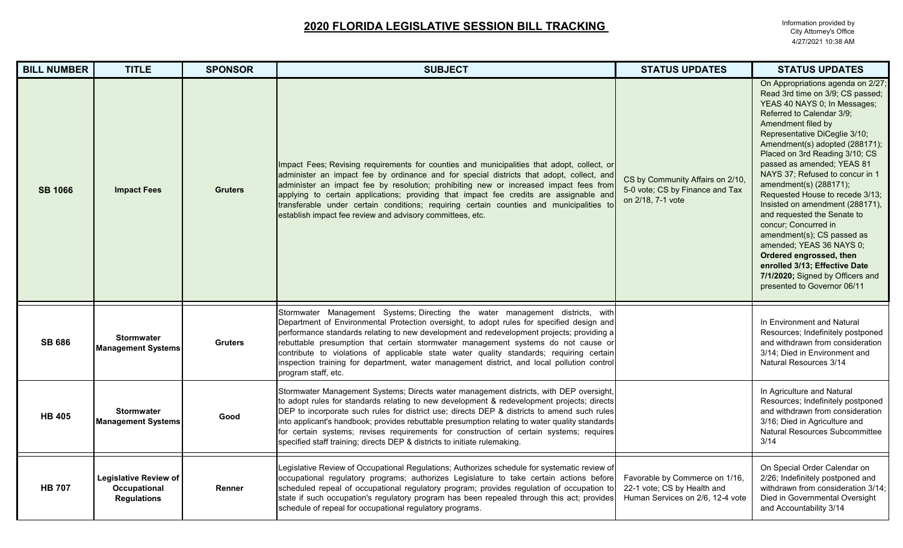| <b>BILL NUMBER</b> | <b>TITLE</b>                                                       | <b>SPONSOR</b> | <b>SUBJECT</b>                                                                                                                                                                                                                                                                                                                                                                                                                                                                                                                                                               | <b>STATUS UPDATES</b>                                                                             | <b>STATUS UPDATES</b>                                                                                                                                                                                                                                                                                                                                                                                                                                                                                                                                                                                                                                                          |
|--------------------|--------------------------------------------------------------------|----------------|------------------------------------------------------------------------------------------------------------------------------------------------------------------------------------------------------------------------------------------------------------------------------------------------------------------------------------------------------------------------------------------------------------------------------------------------------------------------------------------------------------------------------------------------------------------------------|---------------------------------------------------------------------------------------------------|--------------------------------------------------------------------------------------------------------------------------------------------------------------------------------------------------------------------------------------------------------------------------------------------------------------------------------------------------------------------------------------------------------------------------------------------------------------------------------------------------------------------------------------------------------------------------------------------------------------------------------------------------------------------------------|
| <b>SB 1066</b>     | <b>Impact Fees</b>                                                 | <b>Gruters</b> | Impact Fees; Revising requirements for counties and municipalities that adopt, collect, or<br>administer an impact fee by ordinance and for special districts that adopt, collect, and<br>administer an impact fee by resolution; prohibiting new or increased impact fees from<br>applying to certain applications; providing that impact fee credits are assignable and<br>transferable under certain conditions; requiring certain counties and municipalities to<br>establish impact fee review and advisory committees, etc.                                            | CS by Community Affairs on 2/10,<br>5-0 vote; CS by Finance and Tax<br>on 2/18, 7-1 vote          | On Appropriations agenda on 2/27;<br>Read 3rd time on 3/9; CS passed;<br>YEAS 40 NAYS 0; In Messages;<br>Referred to Calendar 3/9;<br>Amendment filed by<br>Representative DiCeglie 3/10;<br>Amendment(s) adopted (288171);<br>Placed on 3rd Reading 3/10; CS<br>passed as amended; YEAS 81<br>NAYS 37; Refused to concur in 1<br>amendment(s) (288171);<br>Requested House to recede 3/13;<br>Insisted on amendment (288171),<br>and requested the Senate to<br>concur; Concurred in<br>amendment(s); CS passed as<br>amended; YEAS 36 NAYS 0;<br>Ordered engrossed, then<br>enrolled 3/13; Effective Date<br>7/1/2020; Signed by Officers and<br>presented to Governor 06/11 |
| <b>SB 686</b>      | <b>Stormwater</b><br><b>Management Systems</b>                     | <b>Gruters</b> | Stormwater Management Systems; Directing the water management districts, with<br>Department of Environmental Protection oversight, to adopt rules for specified design and<br>performance standards relating to new development and redevelopment projects; providing a<br>rebuttable presumption that certain stormwater management systems do not cause or<br>contribute to violations of applicable state water quality standards; requiring certain<br>inspection training for department, water management district, and local pollution control<br>program staff, etc. |                                                                                                   | In Environment and Natural<br>Resources; Indefinitely postponed<br>and withdrawn from consideration<br>3/14; Died in Environment and<br>Natural Resources 3/14                                                                                                                                                                                                                                                                                                                                                                                                                                                                                                                 |
| <b>HB 405</b>      | <b>Stormwater</b><br><b>Management Systems</b>                     | Good           | Stormwater Management Systems; Directs water management districts, with DEP oversight,<br>to adopt rules for standards relating to new development & redevelopment projects; directs<br>DEP to incorporate such rules for district use; directs DEP & districts to amend such rules<br>into applicant's handbook; provides rebuttable presumption relating to water quality standards<br>for certain systems; revises requirements for construction of certain systems; requires<br>specified staff training; directs DEP & districts to initiate rulemaking.                |                                                                                                   | In Agriculture and Natural<br>Resources; Indefinitely postponed<br>and withdrawn from consideration<br>3/16; Died in Agriculture and<br>Natural Resources Subcommittee<br>3/14                                                                                                                                                                                                                                                                                                                                                                                                                                                                                                 |
| <b>HB 707</b>      | <b>Legislative Review of</b><br>Occupational<br><b>Regulations</b> | Renner         | egislative Review of Occupational Regulations; Authorizes schedule for systematic review of<br>occupational regulatory programs; authorizes Legislature to take certain actions before<br>scheduled repeal of occupational regulatory program; provides regulation of occupation to<br>state if such occupation's regulatory program has been repealed through this act; provides<br>schedule of repeal for occupational regulatory programs.                                                                                                                                | Favorable by Commerce on 1/16,<br>22-1 vote; CS by Health and<br>Human Services on 2/6, 12-4 vote | On Special Order Calendar on<br>2/26; Indefinitely postponed and<br>withdrawn from consideration 3/14;<br>Died in Governmental Oversight<br>and Accountability 3/14                                                                                                                                                                                                                                                                                                                                                                                                                                                                                                            |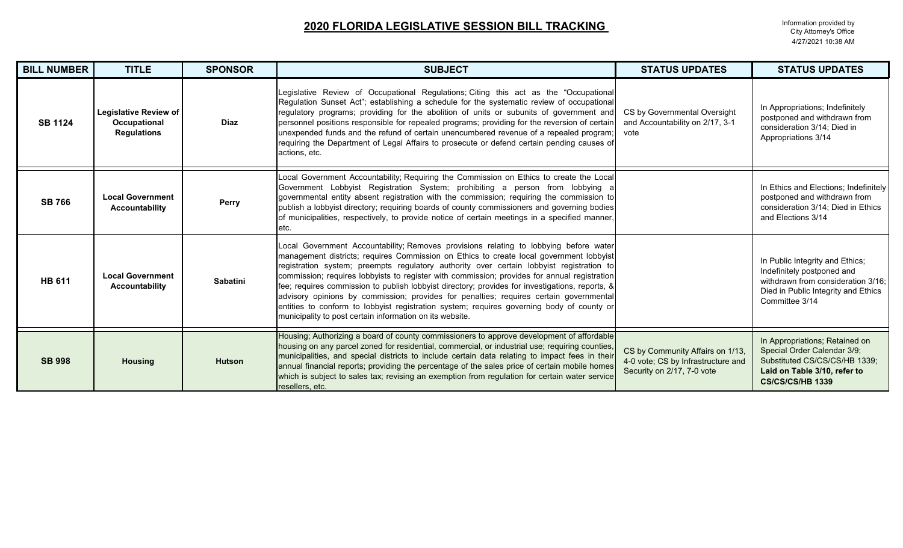| <b>BILL NUMBER</b> | <b>TITLE</b>                                                       | <b>SPONSOR</b>  | <b>SUBJECT</b>                                                                                                                                                                                                                                                                                                                                                                                                                                                                                                                                                                                                                                                                                                                    | <b>STATUS UPDATES</b>                                                                                | <b>STATUS UPDATES</b>                                                                                                                                        |
|--------------------|--------------------------------------------------------------------|-----------------|-----------------------------------------------------------------------------------------------------------------------------------------------------------------------------------------------------------------------------------------------------------------------------------------------------------------------------------------------------------------------------------------------------------------------------------------------------------------------------------------------------------------------------------------------------------------------------------------------------------------------------------------------------------------------------------------------------------------------------------|------------------------------------------------------------------------------------------------------|--------------------------------------------------------------------------------------------------------------------------------------------------------------|
| <b>SB 1124</b>     | <b>Legislative Review of</b><br>Occupational<br><b>Regulations</b> | <b>Diaz</b>     | Legislative Review of Occupational Regulations; Citing this act as the "Occupational<br>Regulation Sunset Act"; establishing a schedule for the systematic review of occupational<br>regulatory programs; providing for the abolition of units or subunits of government and<br>personnel positions responsible for repealed programs; providing for the reversion of certain<br>unexpended funds and the refund of certain unencumbered revenue of a repealed program;<br>requiring the Department of Legal Affairs to prosecute or defend certain pending causes of<br>actions, etc.                                                                                                                                            | CS by Governmental Oversight<br>and Accountability on 2/17, 3-1<br>vote                              | In Appropriations; Indefinitely<br>postponed and withdrawn from<br>consideration 3/14; Died in<br>Appropriations 3/14                                        |
| <b>SB 766</b>      | <b>Local Government</b><br><b>Accountability</b>                   | <b>Perry</b>    | ocal Government Accountability; Requiring the Commission on Ethics to create the Local<br>Government Lobbyist Registration System; prohibiting a person from lobbying a<br>governmental entity absent registration with the commission; requiring the commission to<br>publish a lobbyist directory; requiring boards of county commissioners and governing bodies<br>of municipalities, respectively, to provide notice of certain meetings in a specified manner,<br>etc.                                                                                                                                                                                                                                                       |                                                                                                      | In Ethics and Elections; Indefinitely<br>postponed and withdrawn from<br>consideration 3/14; Died in Ethics<br>and Elections 3/14                            |
| <b>HB 611</b>      | <b>Local Government</b><br><b>Accountability</b>                   | <b>Sabatini</b> | ocal Government Accountability; Removes provisions relating to lobbying before water<br>management districts; requires Commission on Ethics to create local government lobbyist<br>registration system; preempts regulatory authority over certain lobbyist registration to<br>commission; requires lobbyists to register with commission; provides for annual registration<br>fee; requires commission to publish lobbyist directory; provides for investigations, reports, &<br>advisory opinions by commission; provides for penalties; requires certain governmental<br>entities to conform to lobbyist registration system; requires governing body of county or<br>municipality to post certain information on its website. |                                                                                                      | In Public Integrity and Ethics;<br>Indefinitely postponed and<br>withdrawn from consideration 3/16;<br>Died in Public Integrity and Ethics<br>Committee 3/14 |
| <b>SB 998</b>      | <b>Housing</b>                                                     | <b>Hutson</b>   | Housing; Authorizing a board of county commissioners to approve development of affordable<br>housing on any parcel zoned for residential, commercial, or industrial use; requiring counties,<br>municipalities, and special districts to include certain data relating to impact fees in their<br>annual financial reports; providing the percentage of the sales price of certain mobile homes<br>which is subject to sales tax; revising an exemption from regulation for certain water service<br>resellers, etc.                                                                                                                                                                                                              | CS by Community Affairs on 1/13,<br>4-0 vote; CS by Infrastructure and<br>Security on 2/17, 7-0 vote | In Appropriations; Retained on<br>Special Order Calendar 3/9;<br>Substituted CS/CS/CS/HB 1339;<br>Laid on Table 3/10, refer to<br><b>CS/CS/CS/HB 1339</b>    |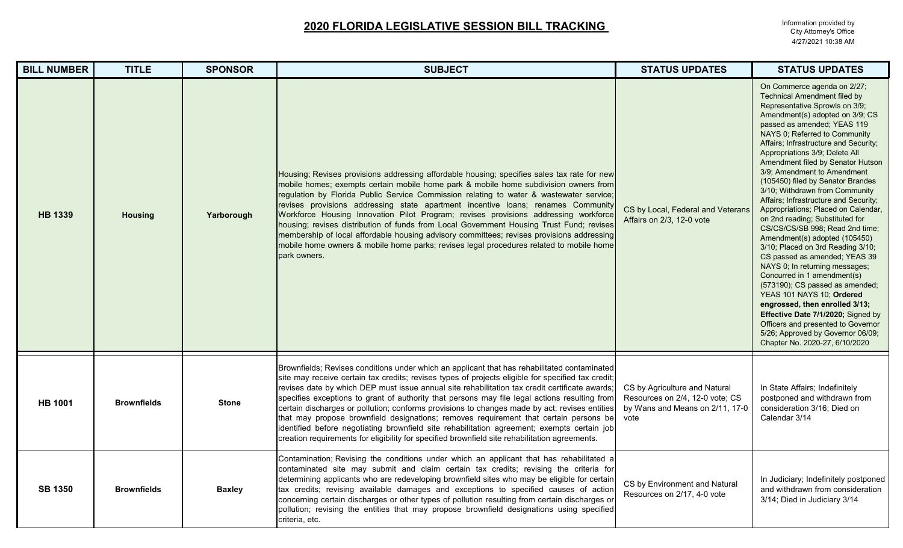| <b>BILL NUMBER</b> | <b>TITLE</b>       | <b>SPONSOR</b> | <b>SUBJECT</b>                                                                                                                                                                                                                                                                                                                                                                                                                                                                                                                                                                                                                                                                                                                                                                                   | <b>STATUS UPDATES</b>                                                                                       | <b>STATUS UPDATES</b>                                                                                                                                                                                                                                                                                                                                                                                                                                                                                                                                                                                                                                                                                                                                                                                                                                                                                                                                                                                            |
|--------------------|--------------------|----------------|--------------------------------------------------------------------------------------------------------------------------------------------------------------------------------------------------------------------------------------------------------------------------------------------------------------------------------------------------------------------------------------------------------------------------------------------------------------------------------------------------------------------------------------------------------------------------------------------------------------------------------------------------------------------------------------------------------------------------------------------------------------------------------------------------|-------------------------------------------------------------------------------------------------------------|------------------------------------------------------------------------------------------------------------------------------------------------------------------------------------------------------------------------------------------------------------------------------------------------------------------------------------------------------------------------------------------------------------------------------------------------------------------------------------------------------------------------------------------------------------------------------------------------------------------------------------------------------------------------------------------------------------------------------------------------------------------------------------------------------------------------------------------------------------------------------------------------------------------------------------------------------------------------------------------------------------------|
| <b>HB 1339</b>     | <b>Housing</b>     | Yarborough     | Housing; Revises provisions addressing affordable housing; specifies sales tax rate for new<br>mobile homes; exempts certain mobile home park & mobile home subdivision owners from<br>regulation by Florida Public Service Commission relating to water & wastewater service;<br>revises provisions addressing state apartment incentive loans; renames Community<br>Workforce Housing Innovation Pilot Program; revises provisions addressing workforce<br>housing; revises distribution of funds from Local Government Housing Trust Fund; revises<br>membership of local affordable housing advisory committees; revises provisions addressing<br>mobile home owners & mobile home parks; revises legal procedures related to mobile home<br>park owners.                                    | CS by Local, Federal and Veterans<br>Affairs on 2/3, 12-0 vote                                              | On Commerce agenda on 2/27;<br><b>Technical Amendment filed by</b><br>Representative Sprowls on 3/9;<br>Amendment(s) adopted on 3/9; CS<br>passed as amended; YEAS 119<br>NAYS 0; Referred to Community<br>Affairs; Infrastructure and Security;<br>Appropriations 3/9; Delete All<br>Amendment filed by Senator Hutson<br>3/9; Amendment to Amendment<br>(105450) filed by Senator Brandes<br>3/10; Withdrawn from Community<br>Affairs; Infrastructure and Security;<br>Appropriations; Placed on Calendar,<br>on 2nd reading; Substituted for<br>CS/CS/CS/SB 998; Read 2nd time;<br>Amendment(s) adopted (105450)<br>3/10; Placed on 3rd Reading 3/10;<br>CS passed as amended; YEAS 39<br>NAYS 0; In returning messages;<br>Concurred in 1 amendment(s)<br>(573190); CS passed as amended;<br>YEAS 101 NAYS 10; Ordered<br>engrossed, then enrolled 3/13;<br>Effective Date 7/1/2020; Signed by<br>Officers and presented to Governor<br>5/26; Approved by Governor 06/09;<br>Chapter No. 2020-27, 6/10/2020 |
| <b>HB 1001</b>     | <b>Brownfields</b> | <b>Stone</b>   | Brownfields; Revises conditions under which an applicant that has rehabilitated contaminated<br>site may receive certain tax credits; revises types of projects eligible for specified tax credit;<br>revises date by which DEP must issue annual site rehabilitation tax credit certificate awards;<br>specifies exceptions to grant of authority that persons may file legal actions resulting from<br>certain discharges or pollution; conforms provisions to changes made by act; revises entities<br>that may propose brownfield designations; removes requirement that certain persons be<br>identified before negotiating brownfield site rehabilitation agreement; exempts certain job<br>creation requirements for eligibility for specified brownfield site rehabilitation agreements. | CS by Agriculture and Natural<br>Resources on 2/4, 12-0 vote; CS<br>by Wans and Means on 2/11, 17-0<br>vote | In State Affairs; Indefinitely<br>postponed and withdrawn from<br>consideration 3/16; Died on<br>Calendar 3/14                                                                                                                                                                                                                                                                                                                                                                                                                                                                                                                                                                                                                                                                                                                                                                                                                                                                                                   |
| <b>SB 1350</b>     | <b>Brownfields</b> | <b>Baxley</b>  | Contamination; Revising the conditions under which an applicant that has rehabilitated a<br>contaminated site may submit and claim certain tax credits; revising the criteria for<br>determining applicants who are redeveloping brownfield sites who may be eligible for certain<br>tax credits; revising available damages and exceptions to specified causes of action<br>concerning certain discharges or other types of pollution resulting from certain discharges or<br>pollution; revising the entities that may propose brownfield designations using specified<br>criteria, etc.                                                                                                                                                                                                       | CS by Environment and Natural<br>Resources on 2/17, 4-0 vote                                                | In Judiciary; Indefinitely postponed<br>and withdrawn from consideration<br>3/14; Died in Judiciary 3/14                                                                                                                                                                                                                                                                                                                                                                                                                                                                                                                                                                                                                                                                                                                                                                                                                                                                                                         |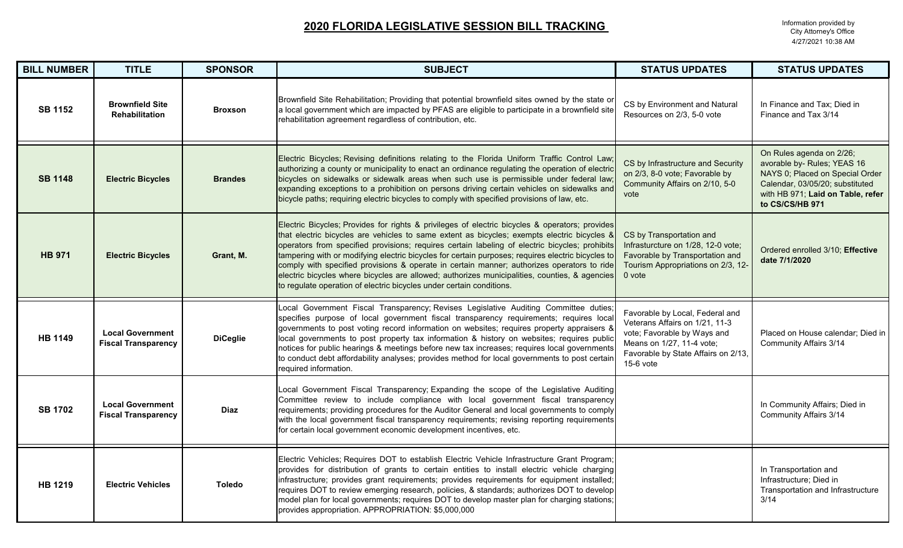| <b>BILL NUMBER</b> | <b>TITLE</b>                                          | <b>SPONSOR</b>  | <b>SUBJECT</b>                                                                                                                                                                                                                                                                                                                                                                                                                                                                                                                                                                                                                                                              | <b>STATUS UPDATES</b>                                                                                                                                                               | <b>STATUS UPDATES</b>                                                                                                                                                                 |
|--------------------|-------------------------------------------------------|-----------------|-----------------------------------------------------------------------------------------------------------------------------------------------------------------------------------------------------------------------------------------------------------------------------------------------------------------------------------------------------------------------------------------------------------------------------------------------------------------------------------------------------------------------------------------------------------------------------------------------------------------------------------------------------------------------------|-------------------------------------------------------------------------------------------------------------------------------------------------------------------------------------|---------------------------------------------------------------------------------------------------------------------------------------------------------------------------------------|
| <b>SB 1152</b>     | <b>Brownfield Site</b><br><b>Rehabilitation</b>       | <b>Broxson</b>  | Brownfield Site Rehabilitation; Providing that potential brownfield sites owned by the state or<br>a local government which are impacted by PFAS are eligible to participate in a brownfield site<br>rehabilitation agreement regardless of contribution, etc.                                                                                                                                                                                                                                                                                                                                                                                                              | CS by Environment and Natural<br>Resources on 2/3, 5-0 vote                                                                                                                         | In Finance and Tax: Died in<br>Finance and Tax 3/14                                                                                                                                   |
| <b>SB 1148</b>     | <b>Electric Bicycles</b>                              | <b>Brandes</b>  | Electric Bicycles; Revising definitions relating to the Florida Uniform Traffic Control Law<br>authorizing a county or municipality to enact an ordinance regulating the operation of electric<br>bicycles on sidewalks or sidewalk areas when such use is permissible under federal law<br>expanding exceptions to a prohibition on persons driving certain vehicles on sidewalks and<br>bicycle paths; requiring electric bicycles to comply with specified provisions of law, etc.                                                                                                                                                                                       | CS by Infrastructure and Security<br>on 2/3, 8-0 vote; Favorable by<br>Community Affairs on 2/10, 5-0<br>vote                                                                       | On Rules agenda on 2/26;<br>avorable by- Rules; YEAS 16<br>NAYS 0; Placed on Special Order<br>Calendar, 03/05/20; substituted<br>with HB 971; Laid on Table, refer<br>to CS/CS/HB 971 |
| <b>HB 971</b>      | <b>Electric Bicycles</b>                              | Grant, M.       | Electric Bicycles; Provides for rights & privileges of electric bicycles & operators; provides<br>that electric bicycles are vehicles to same extent as bicycles; exempts electric bicycles &<br>operators from specified provisions; requires certain labeling of electric bicycles; prohibits<br>tampering with or modifying electric bicycles for certain purposes; requires electric bicycles to<br>comply with specified provisions & operate in certain manner; authorizes operators to ride<br>electric bicycles where bicycles are allowed; authorizes municipalities, counties, & agencies<br>to regulate operation of electric bicycles under certain conditions. | CS by Transportation and<br>Infrasturcture on 1/28, 12-0 vote;<br>Favorable by Transportation and<br>Tourism Appropriations on 2/3, 12-<br>0 vote                                   | Ordered enrolled 3/10; Effective<br>date 7/1/2020                                                                                                                                     |
| <b>HB 1149</b>     | <b>Local Government</b><br><b>Fiscal Transparency</b> | <b>DiCeglie</b> | Local Government Fiscal Transparency; Revises Legislative Auditing Committee duties;<br>specifies purpose of local government fiscal transparency requirements; requires local<br>governments to post voting record information on websites; requires property appraisers &<br>local governments to post property tax information & history on websites; requires public<br>notices for public hearings & meetings before new tax increases; requires local governments<br>to conduct debt affordability analyses; provides method for local governments to post certain<br>required information.                                                                           | Favorable by Local, Federal and<br>Veterans Affairs on 1/21, 11-3<br>vote; Favorable by Ways and<br>Means on 1/27, 11-4 vote;<br>Favorable by State Affairs on 2/13,<br>$15-6$ vote | Placed on House calendar; Died in<br><b>Community Affairs 3/14</b>                                                                                                                    |
| <b>SB 1702</b>     | <b>Local Government</b><br><b>Fiscal Transparency</b> | <b>Diaz</b>     | Local Government Fiscal Transparency; Expanding the scope of the Legislative Auditing<br>Committee review to include compliance with local government fiscal transparency<br>requirements; providing procedures for the Auditor General and local governments to comply<br>with the local government fiscal transparency requirements; revising reporting requirements<br>for certain local government economic development incentives, etc.                                                                                                                                                                                                                                |                                                                                                                                                                                     | In Community Affairs; Died in<br><b>Community Affairs 3/14</b>                                                                                                                        |
| <b>HB 1219</b>     | <b>Electric Vehicles</b>                              | <b>Toledo</b>   | Electric Vehicles; Requires DOT to establish Electric Vehicle Infrastructure Grant Program;<br>provides for distribution of grants to certain entities to install electric vehicle charging<br>infrastructure; provides grant requirements; provides requirements for equipment installed;<br>requires DOT to review emerging research, policies, & standards; authorizes DOT to develop<br>model plan for local governments; requires DOT to develop master plan for charging stations;<br>provides appropriation. APPROPRIATION: \$5,000,000                                                                                                                              |                                                                                                                                                                                     | In Transportation and<br>Infrastructure; Died in<br>Transportation and Infrastructure<br>3/14                                                                                         |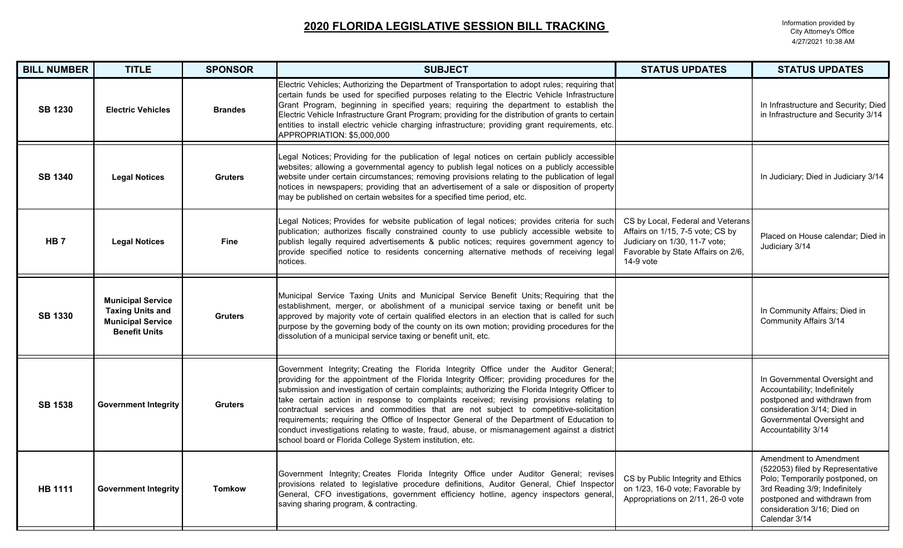### **2020 FLORIDA LEGISLATIVE SESSION BILL TRACKING**

Information provided by<br>City Attorney's Office 4/27/2021 10:38 AM

| <b>BILL NUMBER</b> | <b>TITLE</b>                                                                                            | <b>SPONSOR</b> | <b>SUBJECT</b>                                                                                                                                                                                                                                                                                                                                                                                                                                                                                                                                                                                                                                                                                                                         | <b>STATUS UPDATES</b>                                                                                                                                     | <b>STATUS UPDATES</b>                                                                                                                                                                                          |
|--------------------|---------------------------------------------------------------------------------------------------------|----------------|----------------------------------------------------------------------------------------------------------------------------------------------------------------------------------------------------------------------------------------------------------------------------------------------------------------------------------------------------------------------------------------------------------------------------------------------------------------------------------------------------------------------------------------------------------------------------------------------------------------------------------------------------------------------------------------------------------------------------------------|-----------------------------------------------------------------------------------------------------------------------------------------------------------|----------------------------------------------------------------------------------------------------------------------------------------------------------------------------------------------------------------|
| <b>SB 1230</b>     | <b>Electric Vehicles</b>                                                                                | <b>Brandes</b> | Electric Vehicles; Authorizing the Department of Transportation to adopt rules; requiring that<br>certain funds be used for specified purposes relating to the Electric Vehicle Infrastructure<br>Grant Program, beginning in specified years; requiring the department to establish the<br>Electric Vehicle Infrastructure Grant Program; providing for the distribution of grants to certain<br>entities to install electric vehicle charging infrastructure; providing grant requirements, etc.<br>APPROPRIATION: \$5,000,000                                                                                                                                                                                                       |                                                                                                                                                           | In Infrastructure and Security; Died<br>in Infrastructure and Security 3/14                                                                                                                                    |
| <b>SB 1340</b>     | <b>Legal Notices</b>                                                                                    | <b>Gruters</b> | Legal Notices; Providing for the publication of legal notices on certain publicly accessible<br>websites; allowing a governmental agency to publish legal notices on a publicly accessible<br>website under certain circumstances; removing provisions relating to the publication of legal<br>notices in newspapers; providing that an advertisement of a sale or disposition of property<br>may be published on certain websites for a specified time period, etc.                                                                                                                                                                                                                                                                   |                                                                                                                                                           | In Judiciary; Died in Judiciary 3/14                                                                                                                                                                           |
| HB <sub>7</sub>    | <b>Legal Notices</b>                                                                                    | <b>Fine</b>    | Legal Notices; Provides for website publication of legal notices; provides criteria for such<br>publication; authorizes fiscally constrained county to use publicly accessible website to<br>publish legally required advertisements & public notices; requires government agency to<br>provide specified notice to residents concerning alternative methods of receiving legal<br>notices.                                                                                                                                                                                                                                                                                                                                            | CS by Local, Federal and Veterans<br>Affairs on 1/15, 7-5 vote; CS by<br>Judiciary on 1/30, 11-7 vote;<br>Favorable by State Affairs on 2/6,<br>14-9 vote | Placed on House calendar; Died in<br>Judiciary 3/14                                                                                                                                                            |
| <b>SB 1330</b>     | <b>Municipal Service</b><br><b>Taxing Units and</b><br><b>Municipal Service</b><br><b>Benefit Units</b> | <b>Gruters</b> | Municipal Service Taxing Units and Municipal Service Benefit Units; Requiring that the<br>establishment, merger, or abolishment of a municipal service taxing or benefit unit be<br>approved by majority vote of certain qualified electors in an election that is called for such<br>purpose by the governing body of the county on its own motion; providing procedures for the<br>dissolution of a municipal service taxing or benefit unit, etc.                                                                                                                                                                                                                                                                                   |                                                                                                                                                           | In Community Affairs; Died in<br><b>Community Affairs 3/14</b>                                                                                                                                                 |
| <b>SB 1538</b>     | <b>Government Integrity</b>                                                                             | <b>Gruters</b> | Government Integrity; Creating the Florida Integrity Office under the Auditor General;<br>providing for the appointment of the Florida Integrity Officer; providing procedures for the<br>submission and investigation of certain complaints; authorizing the Florida Integrity Officer to<br>take certain action in response to complaints received; revising provisions relating to<br>contractual services and commodities that are not subject to competitive-solicitation<br>requirements; requiring the Office of Inspector General of the Department of Education to<br>conduct investigations relating to waste, fraud, abuse, or mismanagement against a district<br>school board or Florida College System institution, etc. |                                                                                                                                                           | In Governmental Oversight and<br>Accountability; Indefinitely<br>postponed and withdrawn from<br>consideration 3/14; Died in<br>Governmental Oversight and<br>Accountability 3/14                              |
| <b>HB 1111</b>     | <b>Government Integrity</b>                                                                             | <b>Tomkow</b>  | Government Integrity; Creates Florida Integrity Office under Auditor General; revises<br>provisions related to legislative procedure definitions, Auditor General, Chief Inspector<br>General, CFO investigations, government efficiency hotline, agency inspectors general<br>saving sharing program, & contracting.                                                                                                                                                                                                                                                                                                                                                                                                                  | CS by Public Integrity and Ethics<br>on 1/23, 16-0 vote; Favorable by<br>Appropriations on 2/11, 26-0 vote                                                | Amendment to Amendment<br>(522053) filed by Representative<br>Polo; Temporarily postponed, on<br>3rd Reading 3/9; Indefinitely<br>postponed and withdrawn from<br>consideration 3/16; Died on<br>Calendar 3/14 |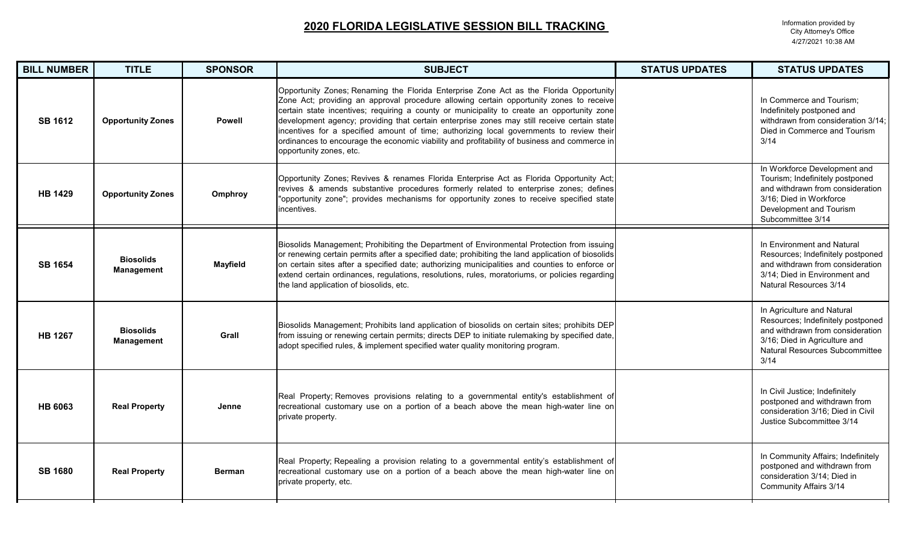| <b>BILL NUMBER</b> | <b>TITLE</b>                          | <b>SPONSOR</b>  | <b>SUBJECT</b>                                                                                                                                                                                                                                                                                                                                                                                                                                                                                                                                                                                        | <b>STATUS UPDATES</b> | <b>STATUS UPDATES</b>                                                                                                                                                          |
|--------------------|---------------------------------------|-----------------|-------------------------------------------------------------------------------------------------------------------------------------------------------------------------------------------------------------------------------------------------------------------------------------------------------------------------------------------------------------------------------------------------------------------------------------------------------------------------------------------------------------------------------------------------------------------------------------------------------|-----------------------|--------------------------------------------------------------------------------------------------------------------------------------------------------------------------------|
| <b>SB 1612</b>     | <b>Opportunity Zones</b>              | <b>Powell</b>   | Opportunity Zones; Renaming the Florida Enterprise Zone Act as the Florida Opportunity<br>Zone Act; providing an approval procedure allowing certain opportunity zones to receive<br>certain state incentives; requiring a county or municipality to create an opportunity zone<br>development agency; providing that certain enterprise zones may still receive certain state<br>incentives for a specified amount of time; authorizing local governments to review their<br>ordinances to encourage the economic viability and profitability of business and commerce in<br>opportunity zones, etc. |                       | In Commerce and Tourism;<br>Indefinitely postponed and<br>withdrawn from consideration 3/14;<br>Died in Commerce and Tourism<br>3/14                                           |
| <b>HB 1429</b>     | <b>Opportunity Zones</b>              | Omphroy         | Opportunity Zones; Revives & renames Florida Enterprise Act as Florida Opportunity Act;<br>revives & amends substantive procedures formerly related to enterprise zones; defines<br>"opportunity zone"; provides mechanisms for opportunity zones to receive specified state<br>incentives.                                                                                                                                                                                                                                                                                                           |                       | In Workforce Development and<br>Tourism; Indefinitely postponed<br>and withdrawn from consideration<br>3/16; Died in Workforce<br>Development and Tourism<br>Subcommittee 3/14 |
| <b>SB 1654</b>     | <b>Biosolids</b><br><b>Management</b> | <b>Mayfield</b> | Biosolids Management; Prohibiting the Department of Environmental Protection from issuing<br>or renewing certain permits after a specified date; prohibiting the land application of biosolids<br>on certain sites after a specified date; authorizing municipalities and counties to enforce or<br>extend certain ordinances, regulations, resolutions, rules, moratoriums, or policies regarding<br>the land application of biosolids, etc.                                                                                                                                                         |                       | In Environment and Natural<br>Resources; Indefinitely postponed<br>and withdrawn from consideration<br>3/14; Died in Environment and<br>Natural Resources 3/14                 |
| <b>HB 1267</b>     | <b>Biosolids</b><br><b>Management</b> | Grall           | Biosolids Management; Prohibits land application of biosolids on certain sites; prohibits DEP<br>from issuing or renewing certain permits; directs DEP to initiate rulemaking by specified date,<br>adopt specified rules, & implement specified water quality monitoring program.                                                                                                                                                                                                                                                                                                                    |                       | In Agriculture and Natural<br>Resources; Indefinitely postponed<br>and withdrawn from consideration<br>3/16; Died in Agriculture and<br>Natural Resources Subcommittee<br>3/14 |
| <b>HB 6063</b>     | <b>Real Property</b>                  | Jenne           | Real Property; Removes provisions relating to a governmental entity's establishment of<br>recreational customary use on a portion of a beach above the mean high-water line on<br>private property.                                                                                                                                                                                                                                                                                                                                                                                                   |                       | In Civil Justice; Indefinitely<br>postponed and withdrawn from<br>consideration 3/16; Died in Civil<br>Justice Subcommittee 3/14                                               |
| <b>SB 1680</b>     | <b>Real Property</b>                  | <b>Berman</b>   | Real Property; Repealing a provision relating to a governmental entity's establishment of<br>recreational customary use on a portion of a beach above the mean high-water line on<br>private property, etc.                                                                                                                                                                                                                                                                                                                                                                                           |                       | In Community Affairs; Indefinitely<br>postponed and withdrawn from<br>consideration 3/14; Died in<br><b>Community Affairs 3/14</b>                                             |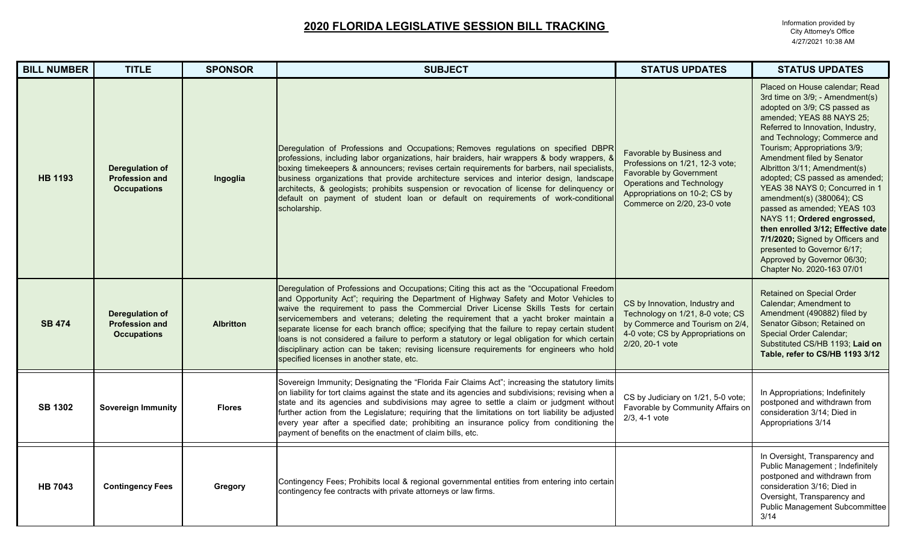| <b>BILL NUMBER</b> | <b>TITLE</b>                                                          | <b>SPONSOR</b>   | <b>SUBJECT</b>                                                                                                                                                                                                                                                                                                                                                                                                                                                                                                                                                                                                                                                                                                  | <b>STATUS UPDATES</b>                                                                                                                                                                       | <b>STATUS UPDATES</b>                                                                                                                                                                                                                                                                                                                                                                                                                                                                                                                                                                                                                  |
|--------------------|-----------------------------------------------------------------------|------------------|-----------------------------------------------------------------------------------------------------------------------------------------------------------------------------------------------------------------------------------------------------------------------------------------------------------------------------------------------------------------------------------------------------------------------------------------------------------------------------------------------------------------------------------------------------------------------------------------------------------------------------------------------------------------------------------------------------------------|---------------------------------------------------------------------------------------------------------------------------------------------------------------------------------------------|----------------------------------------------------------------------------------------------------------------------------------------------------------------------------------------------------------------------------------------------------------------------------------------------------------------------------------------------------------------------------------------------------------------------------------------------------------------------------------------------------------------------------------------------------------------------------------------------------------------------------------------|
| <b>HB 1193</b>     | <b>Deregulation of</b><br><b>Profession and</b><br><b>Occupations</b> | Ingoglia         | Deregulation of Professions and Occupations; Removes regulations on specified DBPR<br>professions, including labor organizations, hair braiders, hair wrappers & body wrappers, 8<br>boxing timekeepers & announcers; revises certain requirements for barbers, nail specialists,<br>business organizations that provide architecture services and interior design, landscape<br>architects, & geologists; prohibits suspension or revocation of license for delinquency or<br>default on payment of student loan or default on requirements of work-conditional<br>scholarship.                                                                                                                                | Favorable by Business and<br>Professions on 1/21, 12-3 vote;<br>Favorable by Government<br><b>Operations and Technology</b><br>Appropriations on 10-2; CS by<br>Commerce on 2/20, 23-0 vote | Placed on House calendar; Read<br>3rd time on 3/9; - Amendment(s)<br>adopted on 3/9; CS passed as<br>amended; YEAS 88 NAYS 25;<br>Referred to Innovation, Industry,<br>and Technology; Commerce and<br>Tourism; Appropriations 3/9;<br>Amendment filed by Senator<br>Albritton 3/11; Amendment(s)<br>adopted; CS passed as amended;<br>YEAS 38 NAYS 0; Concurred in 1<br>amendment(s) (380064); CS<br>passed as amended; YEAS 103<br>NAYS 11; Ordered engrossed,<br>then enrolled 3/12; Effective date<br>7/1/2020; Signed by Officers and<br>presented to Governor 6/17;<br>Approved by Governor 06/30;<br>Chapter No. 2020-163 07/01 |
| <b>SB 474</b>      | <b>Deregulation of</b><br><b>Profession and</b><br><b>Occupations</b> | <b>Albritton</b> | Deregulation of Professions and Occupations; Citing this act as the "Occupational Freedom<br>and Opportunity Act"; requiring the Department of Highway Safety and Motor Vehicles to<br>waive the requirement to pass the Commercial Driver License Skills Tests for certain<br>servicemembers and veterans; deleting the requirement that a yacht broker maintain a<br>separate license for each branch office; specifying that the failure to repay certain student<br>loans is not considered a failure to perform a statutory or legal obligation for which certain<br>disciplinary action can be taken; revising licensure requirements for engineers who hold<br>specified licenses in another state, etc. | CS by Innovation, Industry and<br>Technology on 1/21, 8-0 vote; CS<br>by Commerce and Tourism on 2/4,<br>4-0 vote; CS by Appropriations on<br>2/20, 20-1 vote                               | <b>Retained on Special Order</b><br>Calendar; Amendment to<br>Amendment (490882) filed by<br>Senator Gibson; Retained on<br>Special Order Calendar;<br>Substituted CS/HB 1193; Laid on<br>Table, refer to CS/HB 1193 3/12                                                                                                                                                                                                                                                                                                                                                                                                              |
| <b>SB 1302</b>     | <b>Sovereign Immunity</b>                                             | <b>Flores</b>    | Sovereign Immunity; Designating the "Florida Fair Claims Act"; increasing the statutory limits<br>on liability for tort claims against the state and its agencies and subdivisions; revising when a<br>state and its agencies and subdivisions may agree to settle a claim or judgment without<br>further action from the Legislature; requiring that the limitations on tort liability be adjusted<br>every year after a specified date; prohibiting an insurance policy from conditioning the<br>payment of benefits on the enactment of claim bills, etc.                                                                                                                                                    | CS by Judiciary on 1/21, 5-0 vote;<br>Favorable by Community Affairs on<br>$2/3.4 - 1$ vote                                                                                                 | In Appropriations; Indefinitely<br>postponed and withdrawn from<br>consideration 3/14; Died in<br>Appropriations 3/14                                                                                                                                                                                                                                                                                                                                                                                                                                                                                                                  |
| <b>HB 7043</b>     | <b>Contingency Fees</b>                                               | Gregory          | Contingency Fees; Prohibits local & regional governmental entities from entering into certain<br>contingency fee contracts with private attorneys or law firms.                                                                                                                                                                                                                                                                                                                                                                                                                                                                                                                                                 |                                                                                                                                                                                             | In Oversight, Transparency and<br>Public Management ; Indefinitely<br>postponed and withdrawn from<br>consideration 3/16; Died in<br>Oversight, Transparency and<br>Public Management Subcommittee<br>3/14                                                                                                                                                                                                                                                                                                                                                                                                                             |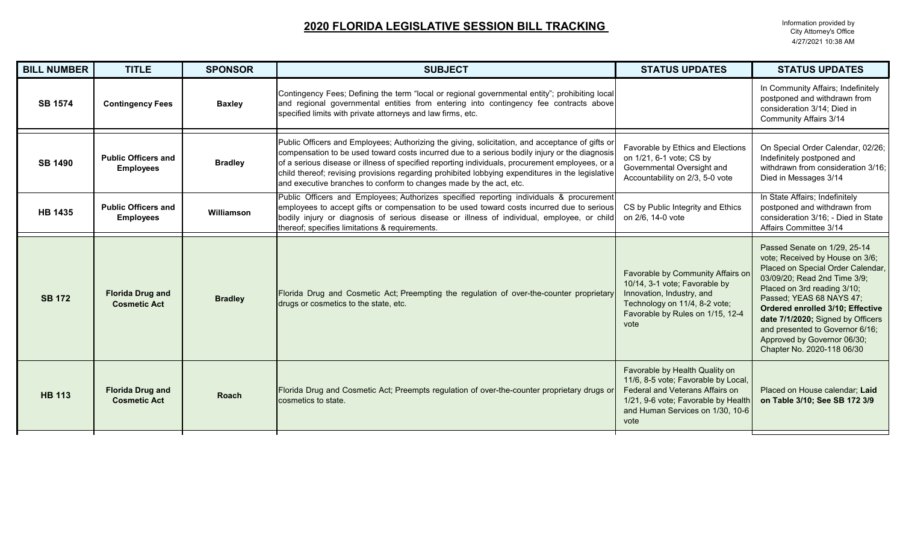| <b>BILL NUMBER</b> | <b>TITLE</b>                                   | <b>SPONSOR</b> | <b>SUBJECT</b>                                                                                                                                                                                                                                                                                                                                                                                                                                                                | <b>STATUS UPDATES</b>                                                                                                                                                                       | <b>STATUS UPDATES</b>                                                                                                                                                                                                                                                                                                                                                    |
|--------------------|------------------------------------------------|----------------|-------------------------------------------------------------------------------------------------------------------------------------------------------------------------------------------------------------------------------------------------------------------------------------------------------------------------------------------------------------------------------------------------------------------------------------------------------------------------------|---------------------------------------------------------------------------------------------------------------------------------------------------------------------------------------------|--------------------------------------------------------------------------------------------------------------------------------------------------------------------------------------------------------------------------------------------------------------------------------------------------------------------------------------------------------------------------|
| <b>SB 1574</b>     | <b>Contingency Fees</b>                        | <b>Baxley</b>  | Contingency Fees; Defining the term "local or regional governmental entity"; prohibiting local<br>and regional governmental entities from entering into contingency fee contracts above<br>specified limits with private attorneys and law firms, etc.                                                                                                                                                                                                                        |                                                                                                                                                                                             | In Community Affairs; Indefinitely<br>postponed and withdrawn from<br>consideration 3/14; Died in<br><b>Community Affairs 3/14</b>                                                                                                                                                                                                                                       |
| <b>SB 1490</b>     | <b>Public Officers and</b><br><b>Employees</b> | <b>Bradley</b> | Public Officers and Employees; Authorizing the giving, solicitation, and acceptance of gifts or<br>compensation to be used toward costs incurred due to a serious bodily injury or the diagnosis<br>of a serious disease or illness of specified reporting individuals, procurement employees, or a<br>child thereof; revising provisions regarding prohibited lobbying expenditures in the legislative<br>and executive branches to conform to changes made by the act, etc. | Favorable by Ethics and Elections<br>on 1/21, 6-1 vote; CS by<br>Governmental Oversight and<br>Accountability on 2/3, 5-0 vote                                                              | On Special Order Calendar, 02/26;<br>Indefinitely postponed and<br>withdrawn from consideration 3/16;<br>Died in Messages 3/14                                                                                                                                                                                                                                           |
| <b>HB 1435</b>     | <b>Public Officers and</b><br><b>Employees</b> | Williamson     | Public Officers and Employees; Authorizes specified reporting individuals & procurement<br>employees to accept gifts or compensation to be used toward costs incurred due to serious<br>bodily injury or diagnosis of serious disease or illness of individual, employee, or child<br>thereof; specifies limitations & requirements.                                                                                                                                          | CS by Public Integrity and Ethics<br>on 2/6, 14-0 vote                                                                                                                                      | In State Affairs; Indefinitely<br>postponed and withdrawn from<br>consideration 3/16; - Died in State<br>Affairs Committee 3/14                                                                                                                                                                                                                                          |
| <b>SB 172</b>      | <b>Florida Drug and</b><br><b>Cosmetic Act</b> | <b>Bradley</b> | Florida Drug and Cosmetic Act; Preempting the regulation of over-the-counter proprietary<br>drugs or cosmetics to the state, etc.                                                                                                                                                                                                                                                                                                                                             | Favorable by Community Affairs on<br>10/14, 3-1 vote; Favorable by<br>Innovation, Industry, and<br>Technology on 11/4, 8-2 vote;<br>Favorable by Rules on 1/15, 12-4<br>vote                | Passed Senate on 1/29, 25-14<br>vote; Received by House on 3/6;<br>Placed on Special Order Calendar,<br>03/09/20; Read 2nd Time 3/9;<br>Placed on 3rd reading 3/10;<br>Passed; YEAS 68 NAYS 47;<br>Ordered enrolled 3/10; Effective<br>date 7/1/2020; Signed by Officers<br>and presented to Governor 6/16;<br>Approved by Governor 06/30;<br>Chapter No. 2020-118 06/30 |
| <b>HB 113</b>      | <b>Florida Drug and</b><br><b>Cosmetic Act</b> | <b>Roach</b>   | Florida Drug and Cosmetic Act; Preempts regulation of over-the-counter proprietary drugs or<br>cosmetics to state.                                                                                                                                                                                                                                                                                                                                                            | Favorable by Health Quality on<br>11/6, 8-5 vote; Favorable by Local,<br>Federal and Veterans Affairs on<br>1/21, 9-6 vote; Favorable by Health<br>and Human Services on 1/30, 10-6<br>vote | Placed on House calendar; Laid<br>on Table 3/10; See SB 172 3/9                                                                                                                                                                                                                                                                                                          |
|                    |                                                |                |                                                                                                                                                                                                                                                                                                                                                                                                                                                                               |                                                                                                                                                                                             |                                                                                                                                                                                                                                                                                                                                                                          |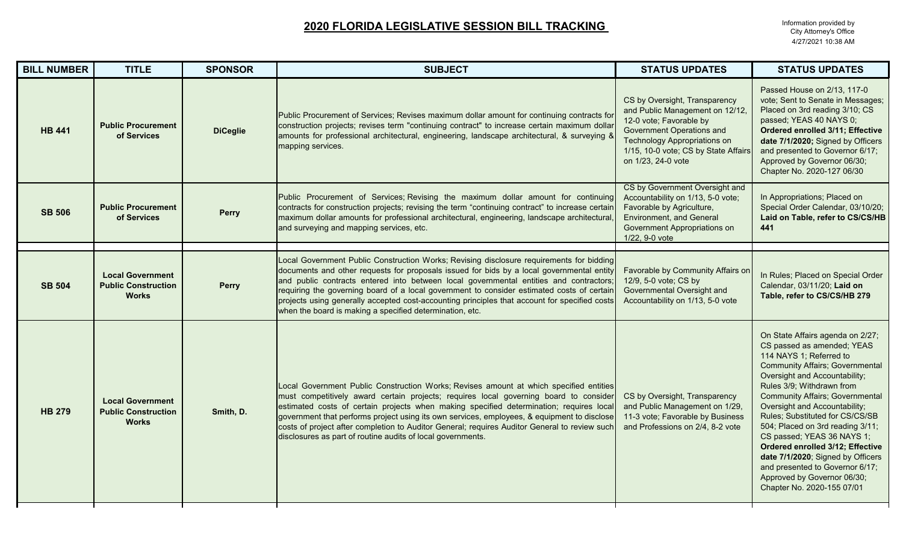| <b>BILL NUMBER</b> | <b>TITLE</b>                                                          | <b>SPONSOR</b>  | <b>SUBJECT</b>                                                                                                                                                                                                                                                                                                                                                                                                                                                                                                                            | <b>STATUS UPDATES</b>                                                                                                                                                                                                         | <b>STATUS UPDATES</b>                                                                                                                                                                                                                                                                                                                                                                                                                                                                                                                                      |
|--------------------|-----------------------------------------------------------------------|-----------------|-------------------------------------------------------------------------------------------------------------------------------------------------------------------------------------------------------------------------------------------------------------------------------------------------------------------------------------------------------------------------------------------------------------------------------------------------------------------------------------------------------------------------------------------|-------------------------------------------------------------------------------------------------------------------------------------------------------------------------------------------------------------------------------|------------------------------------------------------------------------------------------------------------------------------------------------------------------------------------------------------------------------------------------------------------------------------------------------------------------------------------------------------------------------------------------------------------------------------------------------------------------------------------------------------------------------------------------------------------|
| <b>HB 441</b>      | <b>Public Procurement</b><br>of Services                              | <b>DiCeglie</b> | Public Procurement of Services; Revises maximum dollar amount for continuing contracts for<br>construction projects; revises term "continuing contract" to increase certain maximum dollar<br>amounts for professional architectural, engineering, landscape architectural, & surveying &<br>mapping services.                                                                                                                                                                                                                            | CS by Oversight, Transparency<br>and Public Management on 12/12,<br>12-0 vote; Favorable by<br>Government Operations and<br><b>Technology Appropriations on</b><br>1/15, 10-0 vote; CS by State Affairs<br>on 1/23, 24-0 vote | Passed House on 2/13, 117-0<br>vote; Sent to Senate in Messages;<br>Placed on 3rd reading 3/10; CS<br>passed; YEAS 40 NAYS 0;<br>Ordered enrolled 3/11; Effective<br>date 7/1/2020; Signed by Officers<br>and presented to Governor 6/17;<br>Approved by Governor 06/30;<br>Chapter No. 2020-127 06/30                                                                                                                                                                                                                                                     |
| <b>SB 506</b>      | <b>Public Procurement</b><br>of Services                              | <b>Perry</b>    | Public Procurement of Services; Revising the maximum dollar amount for continuing<br>contracts for construction projects; revising the term "continuing contract" to increase certain<br>maximum dollar amounts for professional architectural, engineering, landscape architectural,<br>and surveying and mapping services, etc.                                                                                                                                                                                                         | CS by Government Oversight and<br>Accountability on 1/13, 5-0 vote;<br>Favorable by Agriculture,<br><b>Environment, and General</b><br>Government Appropriations on<br>1/22, 9-0 vote                                         | In Appropriations; Placed on<br>Special Order Calendar, 03/10/20;<br>Laid on Table, refer to CS/CS/HB<br>441                                                                                                                                                                                                                                                                                                                                                                                                                                               |
|                    |                                                                       |                 | Local Government Public Construction Works; Revising disclosure requirements for bidding                                                                                                                                                                                                                                                                                                                                                                                                                                                  |                                                                                                                                                                                                                               |                                                                                                                                                                                                                                                                                                                                                                                                                                                                                                                                                            |
| <b>SB 504</b>      | <b>Local Government</b><br><b>Public Construction</b><br><b>Works</b> | <b>Perry</b>    | documents and other requests for proposals issued for bids by a local governmental entity<br>and public contracts entered into between local governmental entities and contractors;<br>requiring the governing board of a local government to consider estimated costs of certain<br>projects using generally accepted cost-accounting principles that account for specified costs<br>when the board is making a specified determination, etc.                                                                                            | Favorable by Community Affairs on<br>12/9, 5-0 vote; CS by<br>Governmental Oversight and<br>Accountability on 1/13, 5-0 vote                                                                                                  | In Rules; Placed on Special Order<br>Calendar, 03/11/20; Laid on<br>Table, refer to CS/CS/HB 279                                                                                                                                                                                                                                                                                                                                                                                                                                                           |
| <b>HB 279</b>      | <b>Local Government</b><br><b>Public Construction</b><br><b>Works</b> | Smith, D.       | Local Government Public Construction Works; Revises amount at which specified entities<br>must competitively award certain projects; requires local governing board to consider<br>estimated costs of certain projects when making specified determination; requires local<br>government that performs project using its own services, employees, & equipment to disclose<br>costs of project after completion to Auditor General; requires Auditor General to review such<br>disclosures as part of routine audits of local governments. | CS by Oversight, Transparency<br>and Public Management on 1/29,<br>11-3 vote; Favorable by Business<br>and Professions on 2/4, 8-2 vote                                                                                       | On State Affairs agenda on 2/27;<br>CS passed as amended; YEAS<br>114 NAYS 1; Referred to<br><b>Community Affairs; Governmental</b><br>Oversight and Accountability;<br>Rules 3/9; Withdrawn from<br><b>Community Affairs; Governmental</b><br>Oversight and Accountability;<br>Rules; Substituted for CS/CS/SB<br>504; Placed on 3rd reading 3/11;<br>CS passed; YEAS 36 NAYS 1;<br>Ordered enrolled 3/12; Effective<br>date 7/1/2020; Signed by Officers<br>and presented to Governor 6/17;<br>Approved by Governor 06/30;<br>Chapter No. 2020-155 07/01 |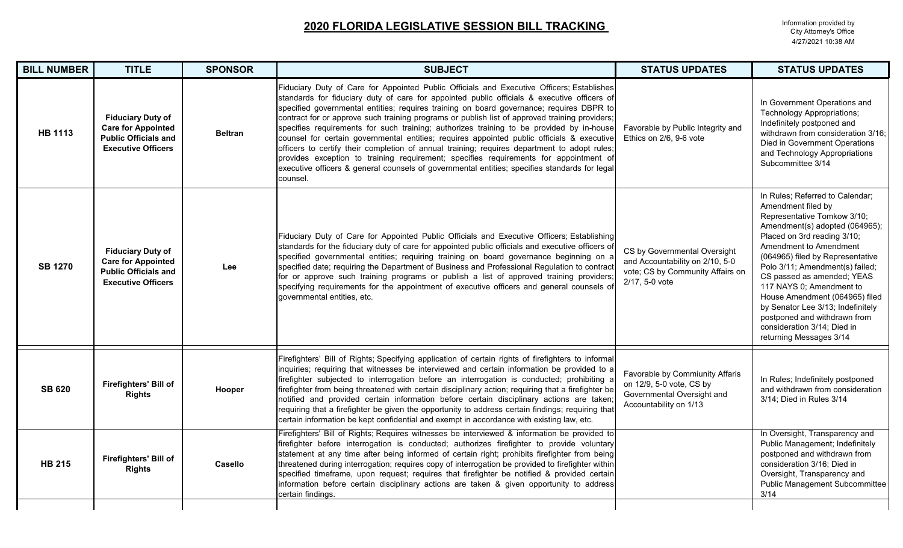| <b>BILL NUMBER</b> | <b>TITLE</b>                                                                                                      | <b>SPONSOR</b> | <b>SUBJECT</b>                                                                                                                                                                                                                                                                                                                                                                                                                                                                                                                                                                                                                                                                                                                                                                                                                                                                         | <b>STATUS UPDATES</b>                                                                                                 | <b>STATUS UPDATES</b>                                                                                                                                                                                                                                                                                                                                                                                                                                                             |
|--------------------|-------------------------------------------------------------------------------------------------------------------|----------------|----------------------------------------------------------------------------------------------------------------------------------------------------------------------------------------------------------------------------------------------------------------------------------------------------------------------------------------------------------------------------------------------------------------------------------------------------------------------------------------------------------------------------------------------------------------------------------------------------------------------------------------------------------------------------------------------------------------------------------------------------------------------------------------------------------------------------------------------------------------------------------------|-----------------------------------------------------------------------------------------------------------------------|-----------------------------------------------------------------------------------------------------------------------------------------------------------------------------------------------------------------------------------------------------------------------------------------------------------------------------------------------------------------------------------------------------------------------------------------------------------------------------------|
| <b>HB 1113</b>     | <b>Fiduciary Duty of</b><br><b>Care for Appointed</b><br><b>Public Officials and</b><br><b>Executive Officers</b> | <b>Beltran</b> | Fiduciary Duty of Care for Appointed Public Officials and Executive Officers; Establishes<br>standards for fiduciary duty of care for appointed public officials & executive officers of<br>specified governmental entities; requires training on board governance; requires DBPR to<br>contract for or approve such training programs or publish list of approved training providers;<br>specifies requirements for such training; authorizes training to be provided by in-house<br>counsel for certain governmental entities; requires appointed public officials & executive<br>officers to certify their completion of annual training; requires department to adopt rules;<br>provides exception to training requirement; specifies requirements for appointment of<br>executive officers & general counsels of governmental entities; specifies standards for legal<br>counsel. | Favorable by Public Integrity and<br>Ethics on 2/6, 9-6 vote                                                          | In Government Operations and<br>Technology Appropriations;<br>Indefinitely postponed and<br>withdrawn from consideration 3/16;<br>Died in Government Operations<br>and Technology Appropriations<br>Subcommittee 3/14                                                                                                                                                                                                                                                             |
| <b>SB 1270</b>     | <b>Fiduciary Duty of</b><br><b>Care for Appointed</b><br><b>Public Officials and</b><br><b>Executive Officers</b> | Lee            | Fiduciary Duty of Care for Appointed Public Officials and Executive Officers; Establishing<br>standards for the fiduciary duty of care for appointed public officials and executive officers of<br>specified governmental entities; requiring training on board governance beginning on a<br>specified date; requiring the Department of Business and Professional Regulation to contract<br>for or approve such training programs or publish a list of approved training providers;<br>specifying requirements for the appointment of executive officers and general counsels of<br>governmental entities, etc.                                                                                                                                                                                                                                                                       | CS by Governmental Oversight<br>and Accountability on 2/10, 5-0<br>vote; CS by Community Affairs on<br>2/17, 5-0 vote | In Rules; Referred to Calendar;<br>Amendment filed by<br>Representative Tomkow 3/10;<br>Amendment(s) adopted (064965);<br>Placed on 3rd reading 3/10;<br>Amendment to Amendment<br>(064965) filed by Representative<br>Polo 3/11; Amendment(s) failed;<br>CS passed as amended; YEAS<br>117 NAYS 0; Amendment to<br>House Amendment (064965) filed<br>by Senator Lee 3/13; Indefinitely<br>postponed and withdrawn from<br>consideration 3/14; Died in<br>returning Messages 3/14 |
| <b>SB 620</b>      | Firefighters' Bill of<br><b>Rights</b>                                                                            | Hooper         | Firefighters' Bill of Rights; Specifying application of certain rights of firefighters to informal<br>inquiries; requiring that witnesses be interviewed and certain information be provided to a<br>firefighter subjected to interrogation before an interrogation is conducted; prohibiting a<br>firefighter from being threatened with certain disciplinary action; requiring that a firefighter be<br>notified and provided certain information before certain disciplinary actions are taken<br>requiring that a firefighter be given the opportunity to address certain findings; requiring that<br>certain information be kept confidential and exempt in accordance with existing law, etc.                                                                                                                                                                                    | Favorable by Commiunity Affaris<br>on 12/9, 5-0 vote, CS by<br>Governmental Oversight and<br>Accountability on 1/13   | In Rules; Indefinitely postponed<br>and withdrawn from consideration<br>3/14; Died in Rules 3/14                                                                                                                                                                                                                                                                                                                                                                                  |
| <b>HB 215</b>      | <b>Firefighters' Bill of</b><br><b>Rights</b>                                                                     | Casello        | Firefighters' Bill of Rights; Requires witnesses be interviewed & information be provided to<br>firefighter before interrogation is conducted; authorizes firefighter to provide voluntary<br>statement at any time after being informed of certain right; prohibits firefighter from being<br>threatened during interrogation; requires copy of interrogation be provided to firefighter within<br>specified timeframe, upon request; requires that firefighter be notified & provided certain<br>information before certain disciplinary actions are taken & given opportunity to address<br>certain findings.                                                                                                                                                                                                                                                                       |                                                                                                                       | In Oversight, Transparency and<br>Public Management; Indefinitely<br>postponed and withdrawn from<br>consideration 3/16; Died in<br>Oversight, Transparency and<br>Public Management Subcommittee<br>3/14                                                                                                                                                                                                                                                                         |
|                    |                                                                                                                   |                |                                                                                                                                                                                                                                                                                                                                                                                                                                                                                                                                                                                                                                                                                                                                                                                                                                                                                        |                                                                                                                       |                                                                                                                                                                                                                                                                                                                                                                                                                                                                                   |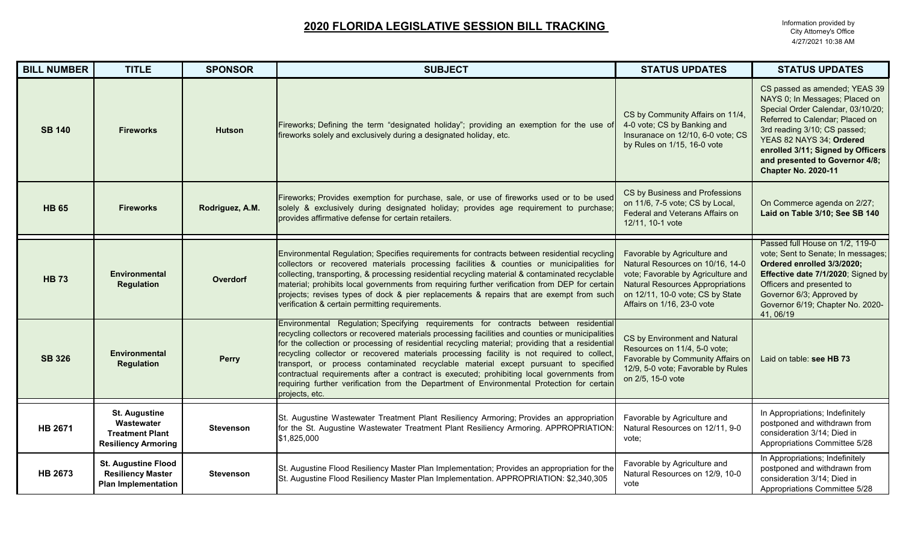| <b>BILL NUMBER</b> | <b>TITLE</b>                                                                               | <b>SPONSOR</b>   | <b>SUBJECT</b>                                                                                                                                                                                                                                                                                                                                                                                                                                                                                                                                                                                                                                                                              | <b>STATUS UPDATES</b>                                                                                                                                                                                               | <b>STATUS UPDATES</b>                                                                                                                                                                                                                                                                                    |
|--------------------|--------------------------------------------------------------------------------------------|------------------|---------------------------------------------------------------------------------------------------------------------------------------------------------------------------------------------------------------------------------------------------------------------------------------------------------------------------------------------------------------------------------------------------------------------------------------------------------------------------------------------------------------------------------------------------------------------------------------------------------------------------------------------------------------------------------------------|---------------------------------------------------------------------------------------------------------------------------------------------------------------------------------------------------------------------|----------------------------------------------------------------------------------------------------------------------------------------------------------------------------------------------------------------------------------------------------------------------------------------------------------|
| <b>SB 140</b>      | <b>Fireworks</b>                                                                           | <b>Hutson</b>    | Fireworks; Defining the term "designated holiday"; providing an exemption for the use of<br>fireworks solely and exclusively during a designated holiday, etc.                                                                                                                                                                                                                                                                                                                                                                                                                                                                                                                              | CS by Community Affairs on 11/4,<br>4-0 vote; CS by Banking and<br>Insuranace on 12/10, 6-0 vote; CS<br>by Rules on 1/15, 16-0 vote                                                                                 | CS passed as amended; YEAS 39<br>NAYS 0; In Messages; Placed on<br>Special Order Calendar, 03/10/20;<br>Referred to Calendar; Placed on<br>3rd reading 3/10; CS passed;<br>YEAS 82 NAYS 34; Ordered<br>enrolled 3/11; Signed by Officers<br>and presented to Governor 4/8;<br><b>Chapter No. 2020-11</b> |
| <b>HB 65</b>       | <b>Fireworks</b>                                                                           | Rodriguez, A.M.  | Fireworks; Provides exemption for purchase, sale, or use of fireworks used or to be used<br>solely & exclusively during designated holiday; provides age requirement to purchase;<br>provides affirmative defense for certain retailers.                                                                                                                                                                                                                                                                                                                                                                                                                                                    | CS by Business and Professions<br>on 11/6, 7-5 vote; CS by Local,<br>Federal and Veterans Affairs on<br>12/11, 10-1 vote                                                                                            | On Commerce agenda on 2/27;<br>Laid on Table 3/10; See SB 140                                                                                                                                                                                                                                            |
| <b>HB 73</b>       | <b>Environmental</b><br><b>Regulation</b>                                                  | <b>Overdorf</b>  | Environmental Regulation; Specifies requirements for contracts between residential recycling<br>collectors or recovered materials processing facilities & counties or municipalities for<br>collecting, transporting, & processing residential recycling material & contaminated recyclable<br>material; prohibits local governments from requiring further verification from DEP for certair<br>projects; revises types of dock & pier replacements & repairs that are exempt from such<br>verification & certain permitting requirements.                                                                                                                                                 | Favorable by Agriculture and<br>Natural Resources on 10/16, 14-0<br>vote; Favorable by Agriculture and<br><b>Natural Resources Appropriations</b><br>on 12/11, 10-0 vote; CS by State<br>Affairs on 1/16, 23-0 vote | Passed full House on 1/2, 119-0<br>vote; Sent to Senate; In messages;<br>Ordered enrolled 3/3/2020;<br>Effective date 7/1/2020; Signed by<br>Officers and presented to<br>Governor 6/3; Approved by<br>Governor 6/19; Chapter No. 2020-<br>41, 06/19                                                     |
| <b>SB 326</b>      | <b>Environmental</b><br><b>Regulation</b>                                                  | <b>Perry</b>     | Environmental Regulation; Specifying requirements for contracts between residential<br>recycling collectors or recovered materials processing facilities and counties or municipalities<br>for the collection or processing of residential recycling material; providing that a residentia<br>recycling collector or recovered materials processing facility is not required to collect<br>transport, or process contaminated recyclable material except pursuant to specified<br>contractual requirements after a contract is executed; prohibiting local governments from<br>requiring further verification from the Department of Environmental Protection for certair<br>projects, etc. | CS by Environment and Natural<br>Resources on 11/4, 5-0 vote;<br>Favorable by Community Affairs on<br>12/9, 5-0 vote; Favorable by Rules<br>on 2/5, 15-0 vote                                                       | Laid on table: see HB 73                                                                                                                                                                                                                                                                                 |
| <b>HB 2671</b>     | <b>St. Augustine</b><br>Wastewater<br><b>Treatment Plant</b><br><b>Resiliency Armoring</b> | <b>Stevenson</b> | St. Augustine Wastewater Treatment Plant Resiliency Armoring; Provides an appropriation<br>for the St. Augustine Wastewater Treatment Plant Resiliency Armoring. APPROPRIATION<br>\$1,825,000                                                                                                                                                                                                                                                                                                                                                                                                                                                                                               | Favorable by Agriculture and<br>Natural Resources on 12/11, 9-0<br>vote;                                                                                                                                            | In Appropriations; Indefinitely<br>postponed and withdrawn from<br>consideration 3/14; Died in<br>Appropriations Committee 5/28                                                                                                                                                                          |
| <b>HB 2673</b>     | <b>St. Augustine Flood</b><br><b>Resiliency Master</b><br><b>Plan Implementation</b>       | <b>Stevenson</b> | St. Augustine Flood Resiliency Master Plan Implementation; Provides an appropriation for the<br>St. Augustine Flood Resiliency Master Plan Implementation. APPROPRIATION: \$2,340,305                                                                                                                                                                                                                                                                                                                                                                                                                                                                                                       | Favorable by Agriculture and<br>Natural Resources on 12/9, 10-0<br>vote                                                                                                                                             | In Appropriations; Indefinitely<br>postponed and withdrawn from<br>consideration 3/14; Died in<br>Appropriations Committee 5/28                                                                                                                                                                          |